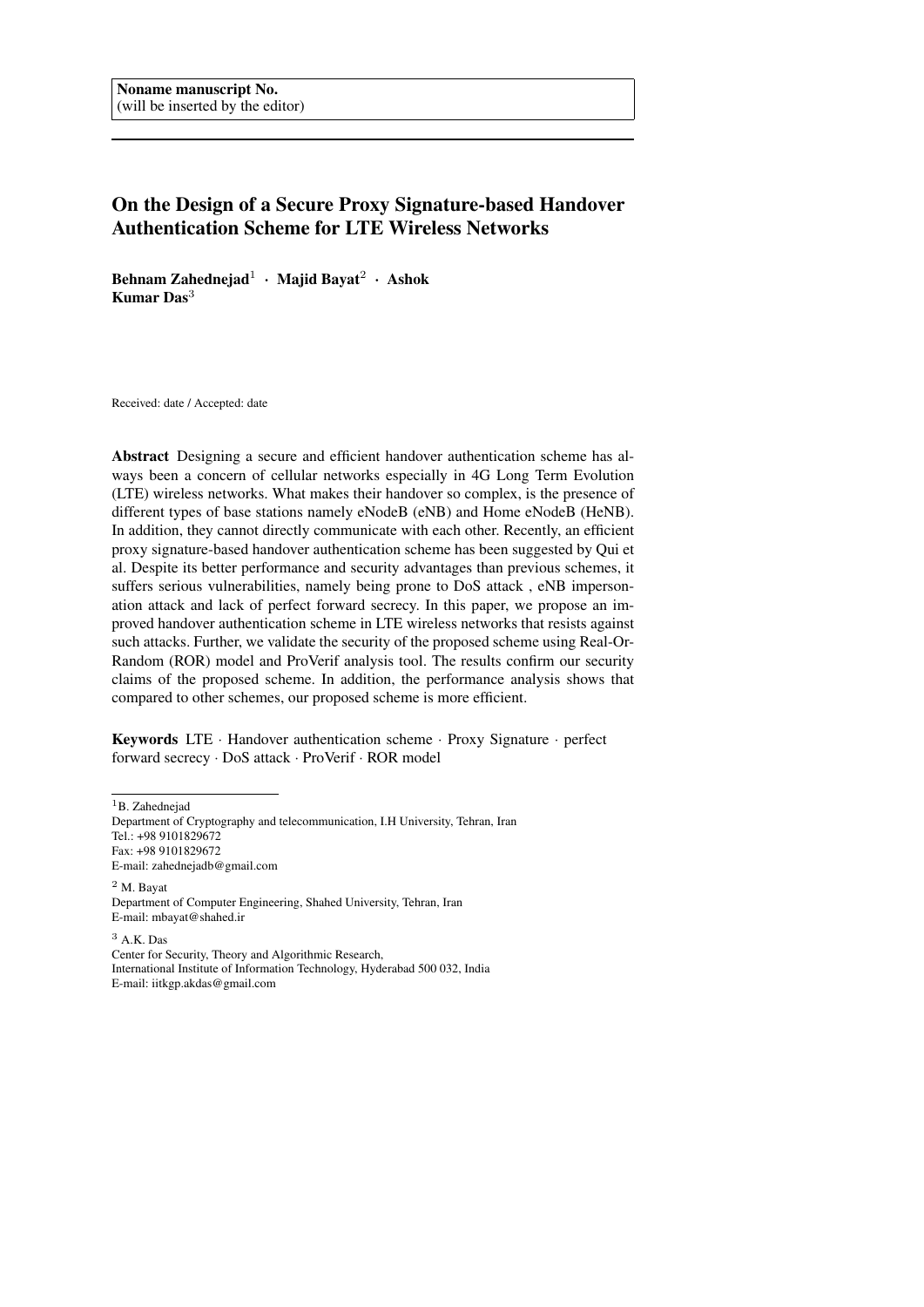# On the Design of a Secure Proxy Signature-based Handover Authentication Scheme for LTE Wireless Networks

Behnam Zahednejad $^1$  • Majid Bayat $^2$  • Ashok Kumar Das<sup>3</sup>

Received: date / Accepted: date

Abstract Designing a secure and efficient handover authentication scheme has always been a concern of cellular networks especially in 4G Long Term Evolution (LTE) wireless networks. What makes their handover so complex, is the presence of different types of base stations namely eNodeB (eNB) and Home eNodeB (HeNB). In addition, they cannot directly communicate with each other. Recently, an efficient proxy signature-based handover authentication scheme has been suggested by Qui et al. Despite its better performance and security advantages than previous schemes, it suffers serious vulnerabilities, namely being prone to DoS attack, eNB impersonation attack and lack of perfect forward secrecy. In this paper, we propose an improved handover authentication scheme in LTE wireless networks that resists against such attacks. Further, we validate the security of the proposed scheme using Real-Or-Random (ROR) model and ProVerif analysis tool. The results confirm our security claims of the proposed scheme. In addition, the performance analysis shows that compared to other schemes, our proposed scheme is more efficient.

Keywords LTE · Handover authentication scheme · Proxy Signature · perfect forward secrecy · DoS attack · ProVerif · ROR model

<sup>2</sup> M. Bayat Department of Computer Engineering, Shahed University, Tehran, Iran E-mail: mbayat@shahed.ir

<sup>3</sup> A.K. Das Center for Security, Theory and Algorithmic Research, International Institute of Information Technology, Hyderabad 500 032, India E-mail: iitkgp.akdas@gmail.com

<sup>&</sup>lt;sup>1</sup>B. Zahednejad

Department of Cryptography and telecommunication, I.H University, Tehran, Iran Tel.: +98 9101829672 Fax: +98 9101829672 E-mail: zahednejadb@gmail.com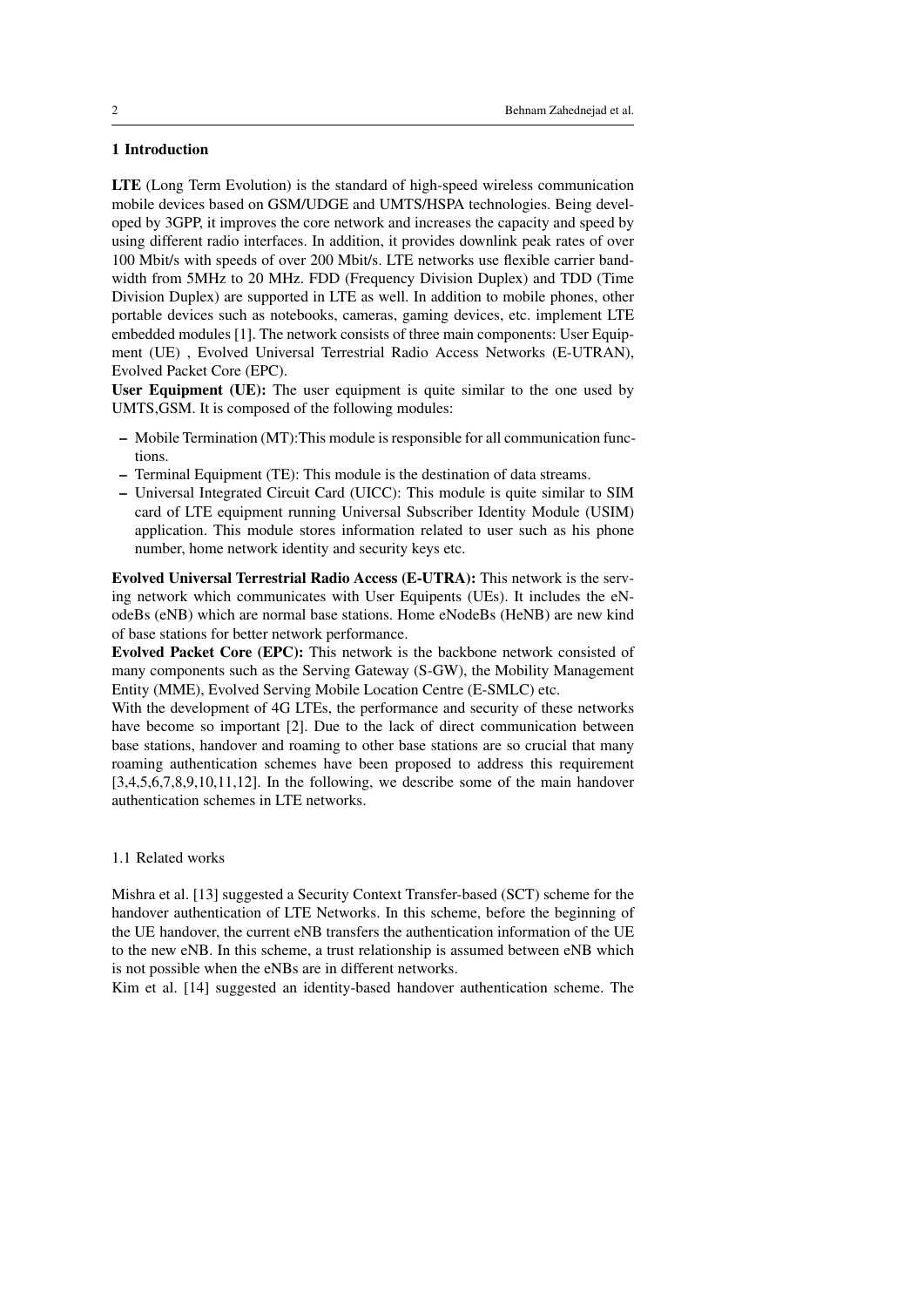# 1 Introduction

LTE (Long Term Evolution) is the standard of high-speed wireless communication mobile devices based on GSM/UDGE and UMTS/HSPA technologies. Being developed by 3GPP, it improves the core network and increases the capacity and speed by using different radio interfaces. In addition, it provides downlink peak rates of over 100 Mbit/s with speeds of over 200 Mbit/s. LTE networks use flexible carrier bandwidth from 5MHz to 20 MHz. FDD (Frequency Division Duplex) and TDD (Time Division Duplex) are supported in LTE as well. In addition to mobile phones, other portable devices such as notebooks, cameras, gaming devices, etc. implement LTE embedded modules [1]. The network consists of three main components: User Equipment (UE) , Evolved Universal Terrestrial Radio Access Networks (E-UTRAN), Evolved Packet Core (EPC).

User Equipment (UE): The user equipment is quite similar to the one used by UMTS,GSM. It is composed of the following modules:

- Mobile Termination (MT):This module is responsible for all communication functions.
- Terminal Equipment (TE): This module is the destination of data streams.
- Universal Integrated Circuit Card (UICC): This module is quite similar to SIM card of LTE equipment running Universal Subscriber Identity Module (USIM) application. This module stores information related to user such as his phone number, home network identity and security keys etc.

Evolved Universal Terrestrial Radio Access (E-UTRA): This network is the serving network which communicates with User Equipents (UEs). It includes the eNodeBs (eNB) which are normal base stations. Home eNodeBs (HeNB) are new kind of base stations for better network performance.

Evolved Packet Core (EPC): This network is the backbone network consisted of many components such as the Serving Gateway (S-GW), the Mobility Management Entity (MME), Evolved Serving Mobile Location Centre (E-SMLC) etc.

With the development of 4G LTEs, the performance and security of these networks have become so important [2]. Due to the lack of direct communication between base stations, handover and roaming to other base stations are so crucial that many roaming authentication schemes have been proposed to address this requirement [3,4,5,6,7,8,9,10,11,12]. In the following, we describe some of the main handover authentication schemes in LTE networks.

# 1.1 Related works

Mishra et al. [13] suggested a Security Context Transfer-based (SCT) scheme for the handover authentication of LTE Networks. In this scheme, before the beginning of the UE handover, the current eNB transfers the authentication information of the UE to the new eNB. In this scheme, a trust relationship is assumed between eNB which is not possible when the eNBs are in different networks.

Kim et al. [14] suggested an identity-based handover authentication scheme. The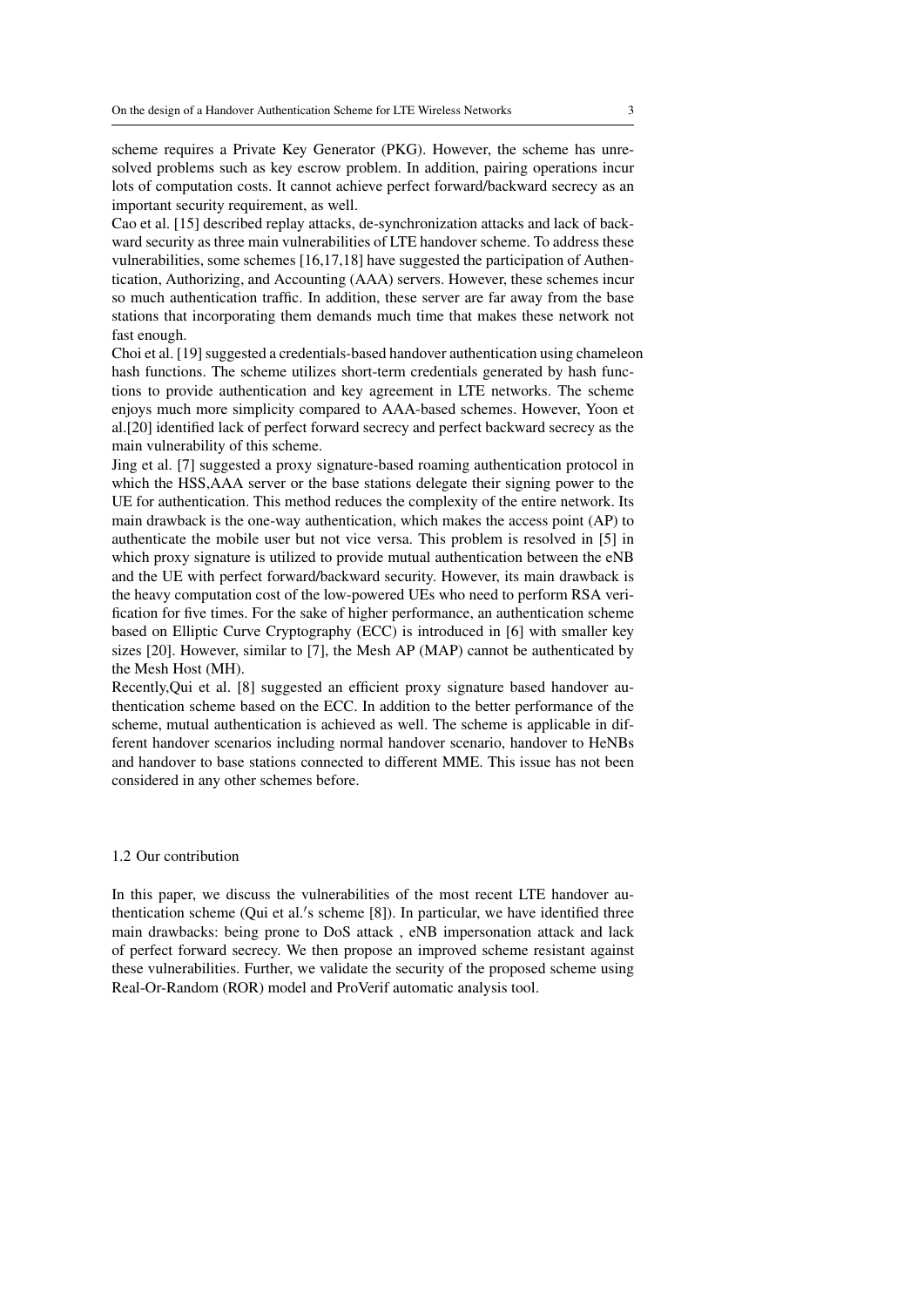scheme requires a Private Key Generator (PKG). However, the scheme has unresolved problems such as key escrow problem. In addition, pairing operations incur lots of computation costs. It cannot achieve perfect forward/backward secrecy as an important security requirement, as well.

Cao et al. [15] described replay attacks, de-synchronization attacks and lack of backward security as three main vulnerabilities of LTE handover scheme. To address these vulnerabilities, some schemes [16,17,18] have suggested the participation of Authentication, Authorizing, and Accounting (AAA) servers. However, these schemes incur so much authentication traffic. In addition, these server are far away from the base stations that incorporating them demands much time that makes these network not fast enough.

Choi et al. [19] suggested a credentials-based handover authentication using chameleon hash functions. The scheme utilizes short-term credentials generated by hash functions to provide authentication and key agreement in LTE networks. The scheme enjoys much more simplicity compared to AAA-based schemes. However, Yoon et al.[20] identified lack of perfect forward secrecy and perfect backward secrecy as the main vulnerability of this scheme.

Jing et al. [7] suggested a proxy signature-based roaming authentication protocol in which the HSS,AAA server or the base stations delegate their signing power to the UE for authentication. This method reduces the complexity of the entire network. Its main drawback is the one-way authentication, which makes the access point (AP) to authenticate the mobile user but not vice versa. This problem is resolved in [5] in which proxy signature is utilized to provide mutual authentication between the eNB and the UE with perfect forward/backward security. However, its main drawback is the heavy computation cost of the low-powered UEs who need to perform RSA verification for five times. For the sake of higher performance, an authentication scheme based on Elliptic Curve Cryptography (ECC) is introduced in [6] with smaller key sizes [20]. However, similar to [7], the Mesh AP (MAP) cannot be authenticated by the Mesh Host (MH).

Recently,Qui et al. [8] suggested an efficient proxy signature based handover authentication scheme based on the ECC. In addition to the better performance of the scheme, mutual authentication is achieved as well. The scheme is applicable in different handover scenarios including normal handover scenario, handover to HeNBs and handover to base stations connected to different MME. This issue has not been considered in any other schemes before.

#### 1.2 Our contribution

In this paper, we discuss the vulnerabilities of the most recent LTE handover authentication scheme (Qui et al.'s scheme [8]). In particular, we have identified three main drawbacks: being prone to DoS attack , eNB impersonation attack and lack of perfect forward secrecy. We then propose an improved scheme resistant against these vulnerabilities. Further, we validate the security of the proposed scheme using Real-Or-Random (ROR) model and ProVerif automatic analysis tool.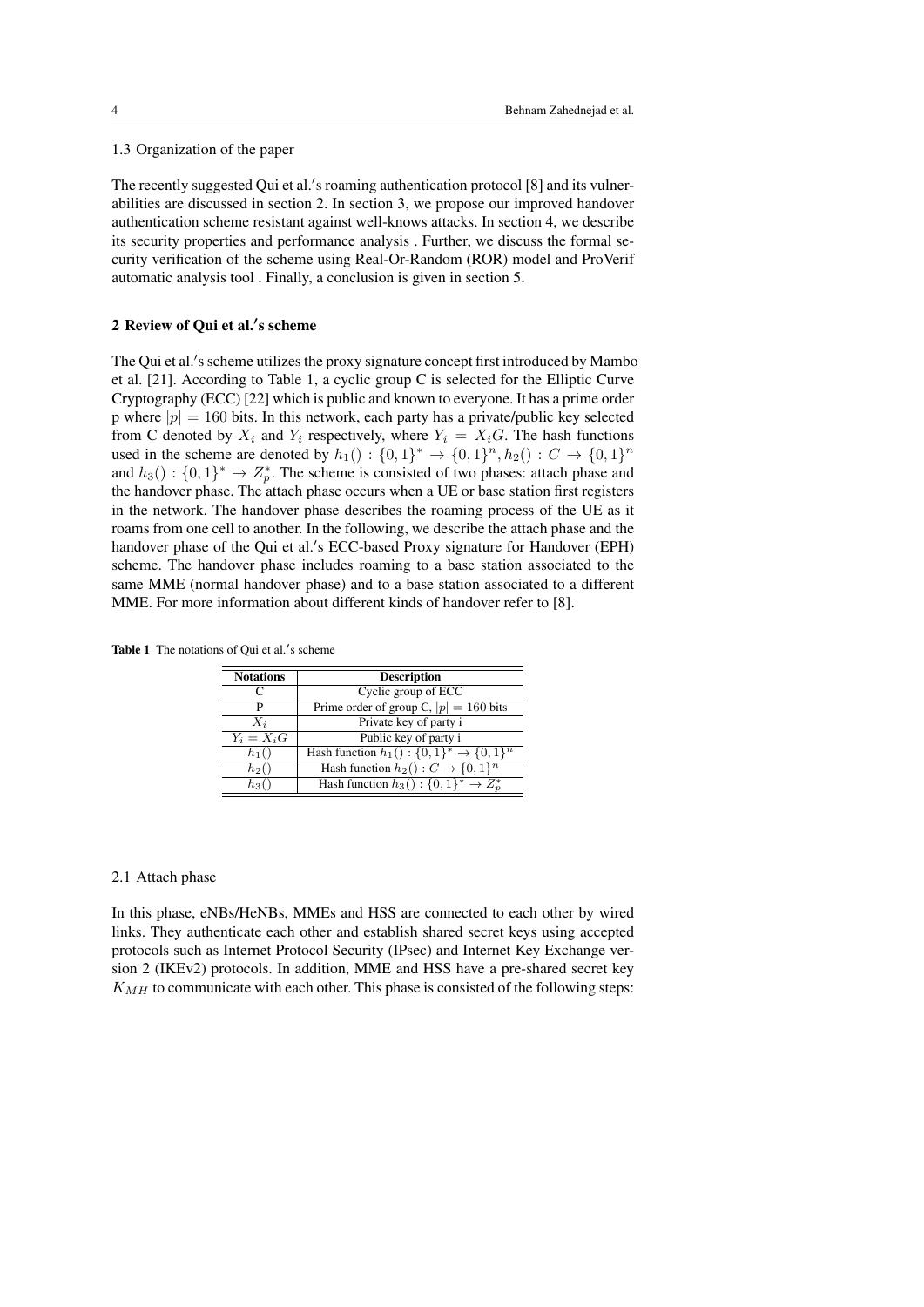# 1.3 Organization of the paper

The recently suggested Qui et al.'s roaming authentication protocol [8] and its vulnerabilities are discussed in section 2. In section 3, we propose our improved handover authentication scheme resistant against well-knows attacks. In section 4, we describe its security properties and performance analysis . Further, we discuss the formal security verification of the scheme using Real-Or-Random (ROR) model and ProVerif automatic analysis tool . Finally, a conclusion is given in section 5.

# 2 Review of Qui et al.'s scheme

The Qui et al.'s scheme utilizes the proxy signature concept first introduced by Mambo et al. [21]. According to Table 1, a cyclic group C is selected for the Elliptic Curve Cryptography (ECC) [22] which is public and known to everyone. It has a prime order p where  $|p| = 160$  bits. In this network, each party has a private/public key selected from C denoted by  $X_i$  and  $Y_i$  respectively, where  $Y_i = X_iG$ . The hash functions used in the scheme are denoted by  $h_1() : \{0,1\}^* \to \{0,1\}^n, h_2() : C \to \{0,1\}^n$ and  $h_3() : \{0,1\}^* \to Z_p^*$ . The scheme is consisted of two phases: attach phase and the handover phase. The attach phase occurs when a UE or base station first registers in the network. The handover phase describes the roaming process of the UE as it roams from one cell to another. In the following, we describe the attach phase and the handover phase of the Qui et al.'s ECC-based Proxy signature for Handover (EPH) scheme. The handover phase includes roaming to a base station associated to the same MME (normal handover phase) and to a base station associated to a different MME. For more information about different kinds of handover refer to [8].

Table 1 The notations of Qui et al.'s scheme

| <b>Notations</b> | <b>Description</b>                                  |  |  |
|------------------|-----------------------------------------------------|--|--|
|                  | Cyclic group of ECC                                 |  |  |
| P                | Prime order of group C, $ p  = 160$ bits            |  |  |
| $X_i$            | Private key of party i                              |  |  |
| $Y_i = X_i G$    | Public key of party i                               |  |  |
| $h_1()$          | Hash function $h_1() : \{0,1\}^* \to \{0,1\}^n$     |  |  |
| $h_2()$          | Hash function $h_2() : C \rightarrow \{0,1\}^n$     |  |  |
| hal              | Hash function $h_3() : \{0,1\}^* \rightarrow Z_n^*$ |  |  |

#### 2.1 Attach phase

In this phase, eNBs/HeNBs, MMEs and HSS are connected to each other by wired links. They authenticate each other and establish shared secret keys using accepted protocols such as Internet Protocol Security (IPsec) and Internet Key Exchange version 2 (IKEv2) protocols. In addition, MME and HSS have a pre-shared secret key  $K_{MH}$  to communicate with each other. This phase is consisted of the following steps: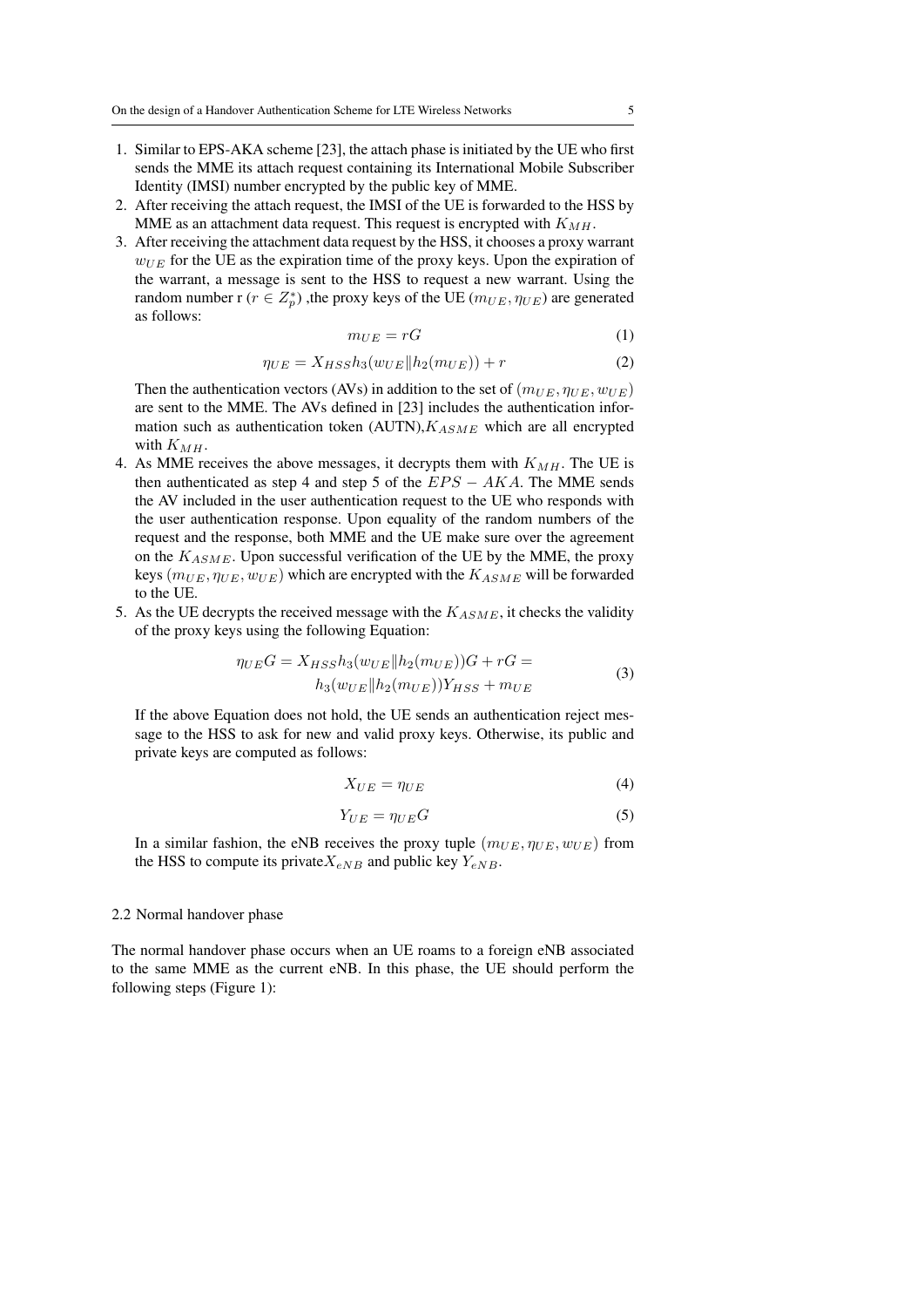- 1. Similar to EPS-AKA scheme [23], the attach phase is initiated by the UE who first sends the MME its attach request containing its International Mobile Subscriber Identity (IMSI) number encrypted by the public key of MME.
- 2. After receiving the attach request, the IMSI of the UE is forwarded to the HSS by MME as an attachment data request. This request is encrypted with  $K_{MH}$ .
- 3. After receiving the attachment data request by the HSS, it chooses a proxy warrant  $w_{UE}$  for the UE as the expiration time of the proxy keys. Upon the expiration of the warrant, a message is sent to the HSS to request a new warrant. Using the random number r ( $r \in Z_p^*$ ), the proxy keys of the UE ( $m_{UE}, \eta_{UE}$ ) are generated as follows:

$$
m_{UE} = rG \tag{1}
$$

$$
\eta_{UE} = X_{HSS}h_3(w_{UE}||h_2(m_{UE})) + r \tag{2}
$$

Then the authentication vectors (AVs) in addition to the set of  $(m_{UE}, \eta_{UE}, w_{UE})$ are sent to the MME. The AVs defined in [23] includes the authentication information such as authentication token (AUTN),  $K_{ASME}$  which are all encrypted with  $K_{MH}$ .

- 4. As MME receives the above messages, it decrypts them with  $K_{MH}$ . The UE is then authenticated as step 4 and step 5 of the  $EPS - AKA$ . The MME sends the AV included in the user authentication request to the UE who responds with the user authentication response. Upon equality of the random numbers of the request and the response, both MME and the UE make sure over the agreement on the  $K_{ASME}$ . Upon successful verification of the UE by the MME, the proxy keys  $(m_{UE}, \eta_{UE}, w_{UE})$  which are encrypted with the  $K_{ASME}$  will be forwarded to the UE.
- 5. As the UE decrypts the received message with the  $K_{ASME}$ , it checks the validity of the proxy keys using the following Equation:

$$
\eta_{UE}G = X_{HSS}h_3(w_{UE}||h_2(m_{UE}))G + rG =
$$
  
\n
$$
h_3(w_{UE}||h_2(m_{UE}))Y_{HSS} + m_{UE}
$$
\n(3)

If the above Equation does not hold, the UE sends an authentication reject message to the HSS to ask for new and valid proxy keys. Otherwise, its public and private keys are computed as follows:

$$
X_{UE} = \eta_{UE} \tag{4}
$$

$$
Y_{UE} = \eta_{UE} G \tag{5}
$$

In a similar fashion, the eNB receives the proxy tuple  $(m_{UE}, \eta_{UE}, w_{UE})$  from the HSS to compute its private  $X_{eNB}$  and public key  $Y_{eNB}$ .

#### 2.2 Normal handover phase

The normal handover phase occurs when an UE roams to a foreign eNB associated to the same MME as the current eNB. In this phase, the UE should perform the following steps (Figure 1):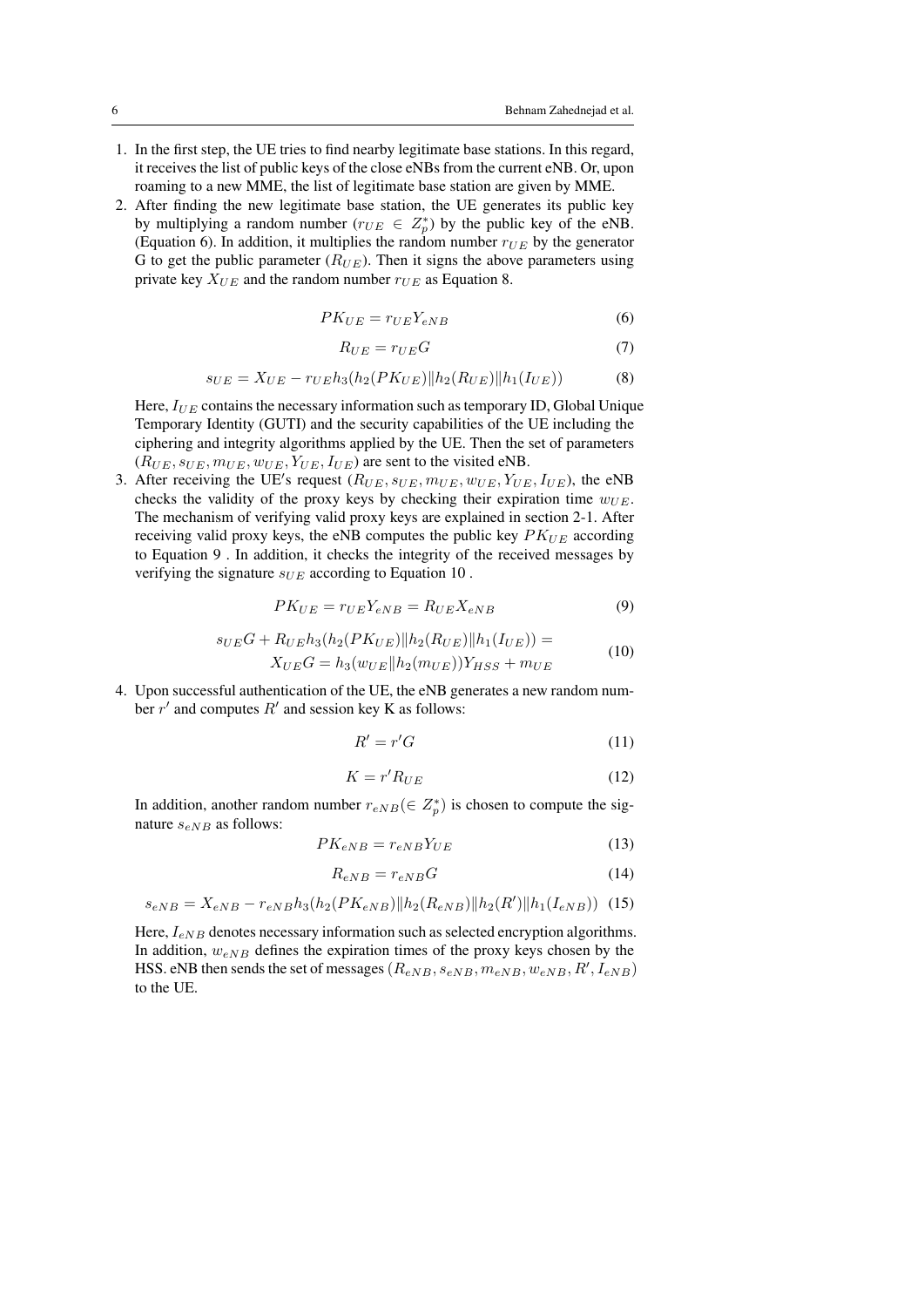- 1. In the first step, the UE tries to find nearby legitimate base stations. In this regard, it receives the list of public keys of the close eNBs from the current eNB. Or, upon roaming to a new MME, the list of legitimate base station are given by MME.
- 2. After finding the new legitimate base station, the UE generates its public key by multiplying a random number  $(r_{UE} \in Z_p^*)$  by the public key of the eNB. (Equation 6). In addition, it multiplies the random number  $r_{UE}$  by the generator G to get the public parameter  $(R_{UE})$ . Then it signs the above parameters using private key  $X_{UE}$  and the random number  $r_{UE}$  as Equation 8.

$$
PK_{UE} = r_{UE}Y_{eNB} \tag{6}
$$

$$
R_{UE} = r_{UE}G\tag{7}
$$

$$
s_{UE} = X_{UE} - r_{UE}h_3(h_2(PK_{UE})||h_2(R_{UE})||h_1(I_{UE}))
$$
\n(8)

Here,  $I_{UE}$  contains the necessary information such as temporary ID, Global Unique Temporary Identity (GUTI) and the security capabilities of the UE including the ciphering and integrity algorithms applied by the UE. Then the set of parameters  $(R_{UE}, s_{UE}, m_{UE}, w_{UE}, Y_{UE}, I_{UE})$  are sent to the visited eNB.

3. After receiving the UE's request  $(R_{UE}, s_{UE}, m_{UE}, w_{UE}, Y_{UE}, I_{UE})$ , the eNB checks the validity of the proxy keys by checking their expiration time  $w_{UE}$ . The mechanism of verifying valid proxy keys are explained in section 2-1. After receiving valid proxy keys, the eNB computes the public key  $PK_{UE}$  according to Equation 9 . In addition, it checks the integrity of the received messages by verifying the signature  $s_{UE}$  according to Equation 10.

$$
PK_{UE} = r_{UE}Y_{eNB} = R_{UE}X_{eNB}
$$
\n<sup>(9)</sup>

$$
s_{UE}G + R_{UE}h_3(h_2(PK_{UE})||h_2(R_{UE})||h_1(I_{UE})) =
$$
\n
$$
K = G + \left(\frac{1}{2} \left(1 + \frac{1}{2}\right) \right) \left(1 + \frac{1}{2}\right) \left(1 + \frac{1}{2}\right) \left(1 + \frac{1}{2}\right) \left(1 + \frac{1}{2}\right) \left(1 + \frac{1}{2}\right) \left(1 + \frac{1}{2}\right) \left(1 + \frac{1}{2}\right) \left(1 + \frac{1}{2}\right) \left(1 + \frac{1}{2}\right) \left(1 + \frac{1}{2}\right) \left(1 + \frac{1}{2}\right) \left(1 + \frac{1}{2}\right) \left(1 + \frac{1}{2}\right) \left(1 + \frac{1}{2}\right) \left(1 + \frac{1}{2}\right) \left(1 + \frac{1}{2}\right) \left(1 + \frac{1}{2}\right) \left(1 + \frac{1}{2}\right) \left(1 + \frac{1}{2}\right) \left(1 + \frac{1}{2}\right) \left(1 + \frac{1}{2}\right) \left(1 + \frac{1}{2}\right) \left(1 + \frac{1}{2}\right) \left(1 + \frac{1}{2}\right) \left(1 + \frac{1}{2}\right) \left(1 + \frac{1}{2}\right) \left(1 + \frac{1}{2}\right) \left(1 + \frac{1}{2}\right) \left(1 + \frac{1}{2}\right) \left(1 + \frac{1}{2}\right) \left(1 + \frac{1}{2}\right) \left(1 + \frac{1}{2}\right) \left(1 + \frac{1}{2}\right) \left(1 + \frac{1}{2}\right) \left(1 + \frac{1}{2}\right) \left(1 + \frac{1}{2}\right) \left(1 + \frac{1}{2}\right) \left(1 + \frac{1}{2}\right) \left(1 + \frac{1}{2}\right) \left(1 + \frac{1}{2}\right) \left(1 + \frac{1}{2}\right) \left(1 + \frac{1}{2}\right) \left(1 + \frac{1}{2}\right) \left(1 + \frac{1}{2}\right) \left(1 + \frac{1}{2}\right) \left(1 + \frac{1}{2}\right) \left(1 + \frac{1}{2}\right) \left(1 + \frac{1}{2}\right) \left(1 + \frac{1
$$

$$
X_{UE}G = h_3(w_{UE}||h_2(m_{UE}))Y_{HSS} + m_{UE}
$$

4. Upon successful authentication of the UE, the eNB generates a new random number  $r'$  and computes  $R'$  and session key K as follows:

$$
R' = r'G \tag{11}
$$

$$
K = r' R_{UE} \tag{12}
$$

In addition, another random number  $r_{eNB} (\in \mathbb{Z}_p^*)$  is chosen to compute the signature  $s_{eNB}$  as follows:

$$
PK_{eNB} = r_{eNB}Y_{UE}
$$
\n<sup>(13)</sup>

$$
R_{eNB} = r_{eNB}G \tag{14}
$$

$$
s_{eNB} = X_{eNB} - r_{eNB}h_3(h_2(PK_{eNB})||h_2(R_{eNB})||h_2(R')||h_1(I_{eNB}))
$$
 (15)

Here,  $I_{eNB}$  denotes necessary information such as selected encryption algorithms. In addition,  $w_{eNB}$  defines the expiration times of the proxy keys chosen by the HSS. eNB then sends the set of messages  $(R_{eNB}, s_{eNB}, m_{eNB}, w_{eNB}, R', I_{eNB})$ to the UE.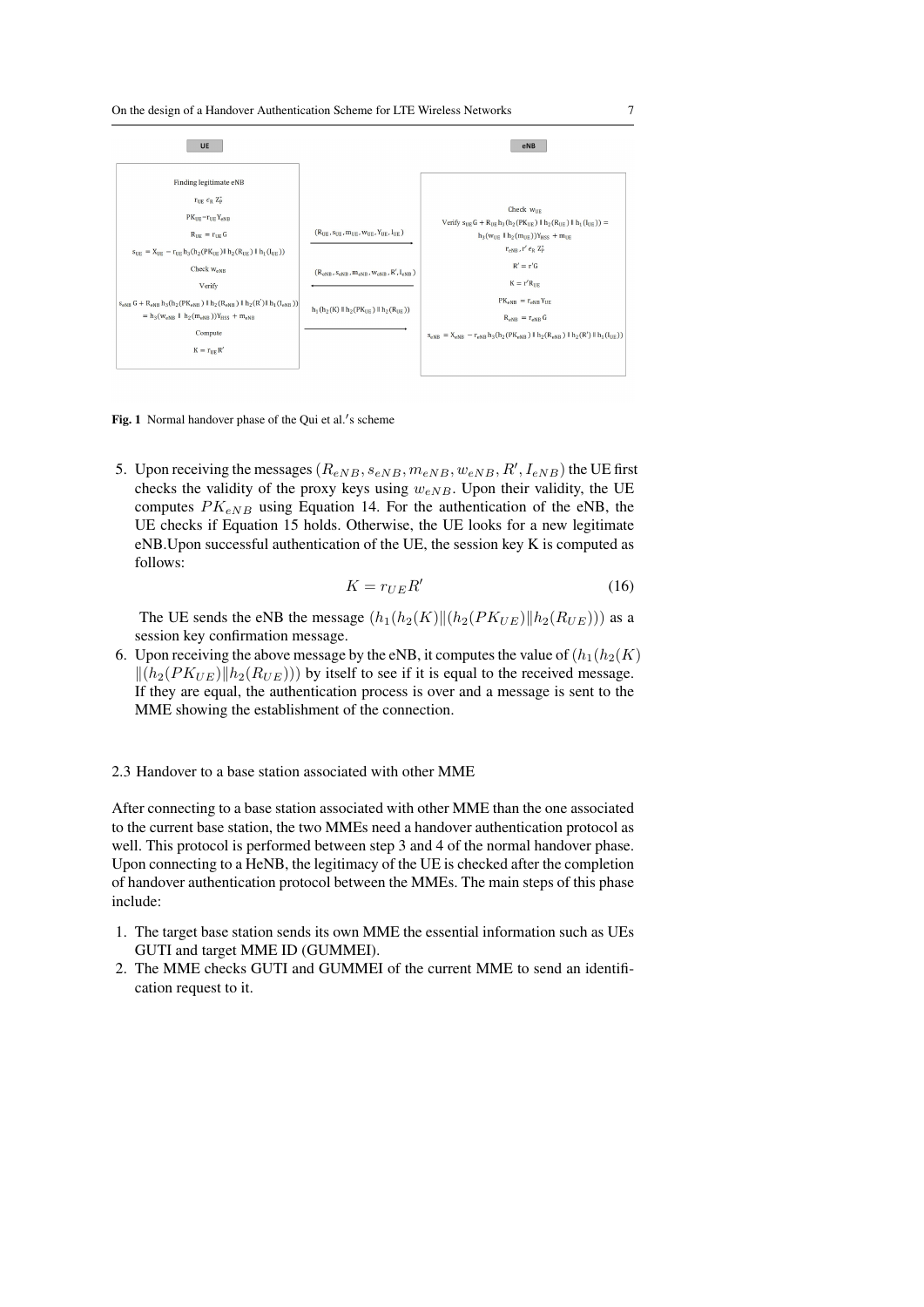

Fig. 1 Normal handover phase of the Qui et al.'s scheme

5. Upon receiving the messages  $(R_{eNB}, s_{eNB}, m_{eNB}, w_{eNB}, R', I_{eNB})$  the UE first checks the validity of the proxy keys using  $w_{eNB}$ . Upon their validity, the UE computes  $PK_{eNB}$  using Equation 14. For the authentication of the eNB, the UE checks if Equation 15 holds. Otherwise, the UE looks for a new legitimate eNB.Upon successful authentication of the UE, the session key K is computed as follows:

$$
K = r_{UE}R' \tag{16}
$$

The UE sends the eNB the message  $(h_1(h_2(K) || (h_2(PK_{UE}) || h_2(R_{UE})))$  as a session key confirmation message.

6. Upon receiving the above message by the eNB, it computes the value of  $(h_1(h_2(K)))$  $\|(h_2(PK_{UE})\|h_2(R_{UE}))\|$  by itself to see if it is equal to the received message. If they are equal, the authentication process is over and a message is sent to the MME showing the establishment of the connection.

# 2.3 Handover to a base station associated with other MME

After connecting to a base station associated with other MME than the one associated to the current base station, the two MMEs need a handover authentication protocol as well. This protocol is performed between step 3 and 4 of the normal handover phase. Upon connecting to a HeNB, the legitimacy of the UE is checked after the completion of handover authentication protocol between the MMEs. The main steps of this phase include:

- 1. The target base station sends its own MME the essential information such as UEs GUTI and target MME ID (GUMMEI).
- 2. The MME checks GUTI and GUMMEI of the current MME to send an identification request to it.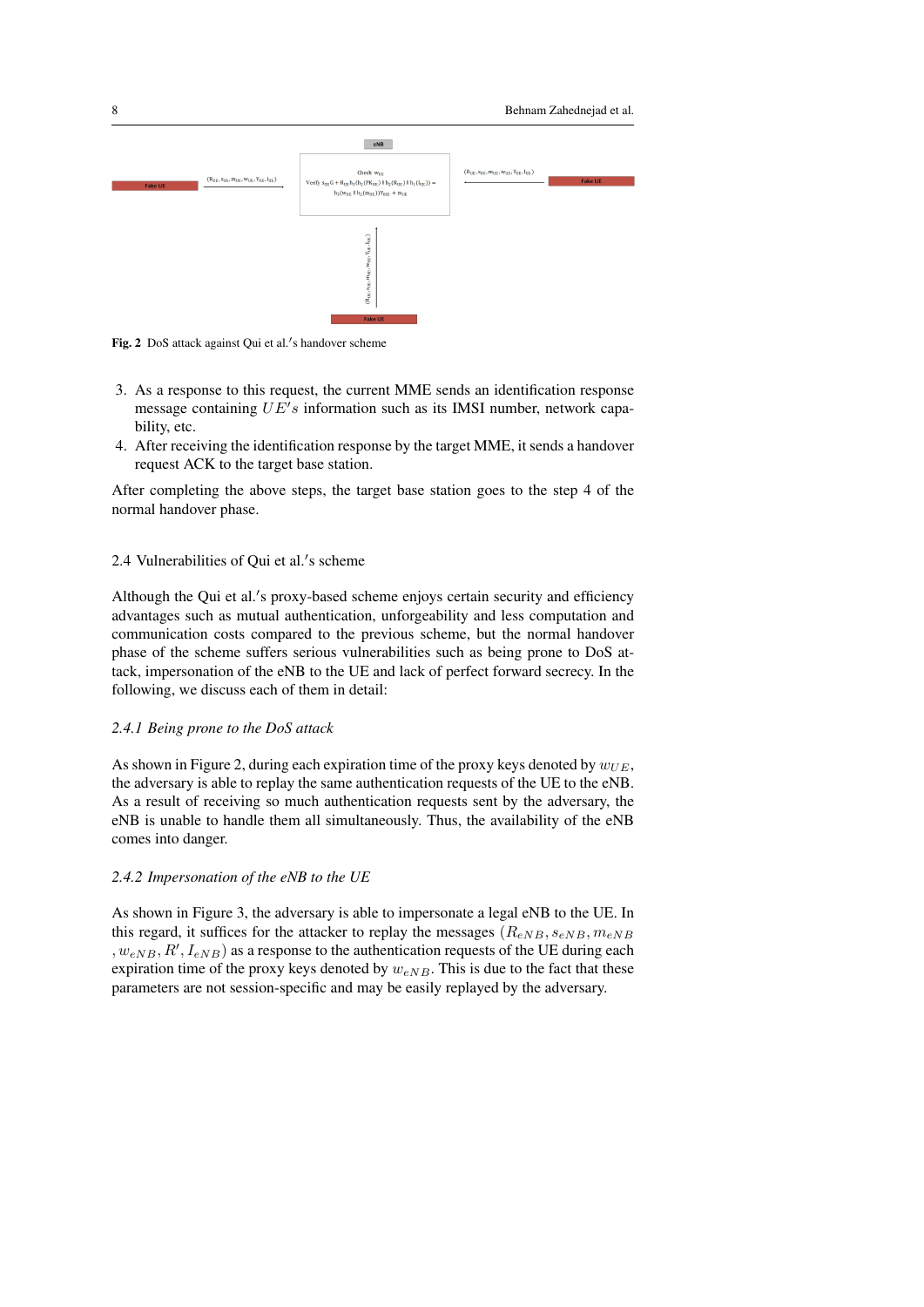



Fig. 2 DoS attack against Qui et al.'s handover scheme

- 3. As a response to this request, the current MME sends an identification response message containing  $UE's$  information such as its IMSI number, network capability, etc.
- 4. After receiving the identification response by the target MME, it sends a handover request ACK to the target base station.

After completing the above steps, the target base station goes to the step 4 of the normal handover phase.

# 2.4 Vulnerabilities of Qui et al.'s scheme

Although the Qui et al.'s proxy-based scheme enjoys certain security and efficiency advantages such as mutual authentication, unforgeability and less computation and communication costs compared to the previous scheme, but the normal handover phase of the scheme suffers serious vulnerabilities such as being prone to DoS attack, impersonation of the eNB to the UE and lack of perfect forward secrecy. In the following, we discuss each of them in detail:

## *2.4.1 Being prone to the DoS attack*

As shown in Figure 2, during each expiration time of the proxy keys denoted by  $w_{UE}$ , the adversary is able to replay the same authentication requests of the UE to the eNB. As a result of receiving so much authentication requests sent by the adversary, the eNB is unable to handle them all simultaneously. Thus, the availability of the eNB comes into danger.

# *2.4.2 Impersonation of the eNB to the UE*

As shown in Figure 3, the adversary is able to impersonate a legal eNB to the UE. In this regard, it suffices for the attacker to replay the messages  $(R_{eNB}, s_{eNB}, m_{eNB})$ ,  $w_{eNB}$ ,  $R', I_{eNB}$ ) as a response to the authentication requests of the UE during each expiration time of the proxy keys denoted by  $w_{eNB}$ . This is due to the fact that these parameters are not session-specific and may be easily replayed by the adversary.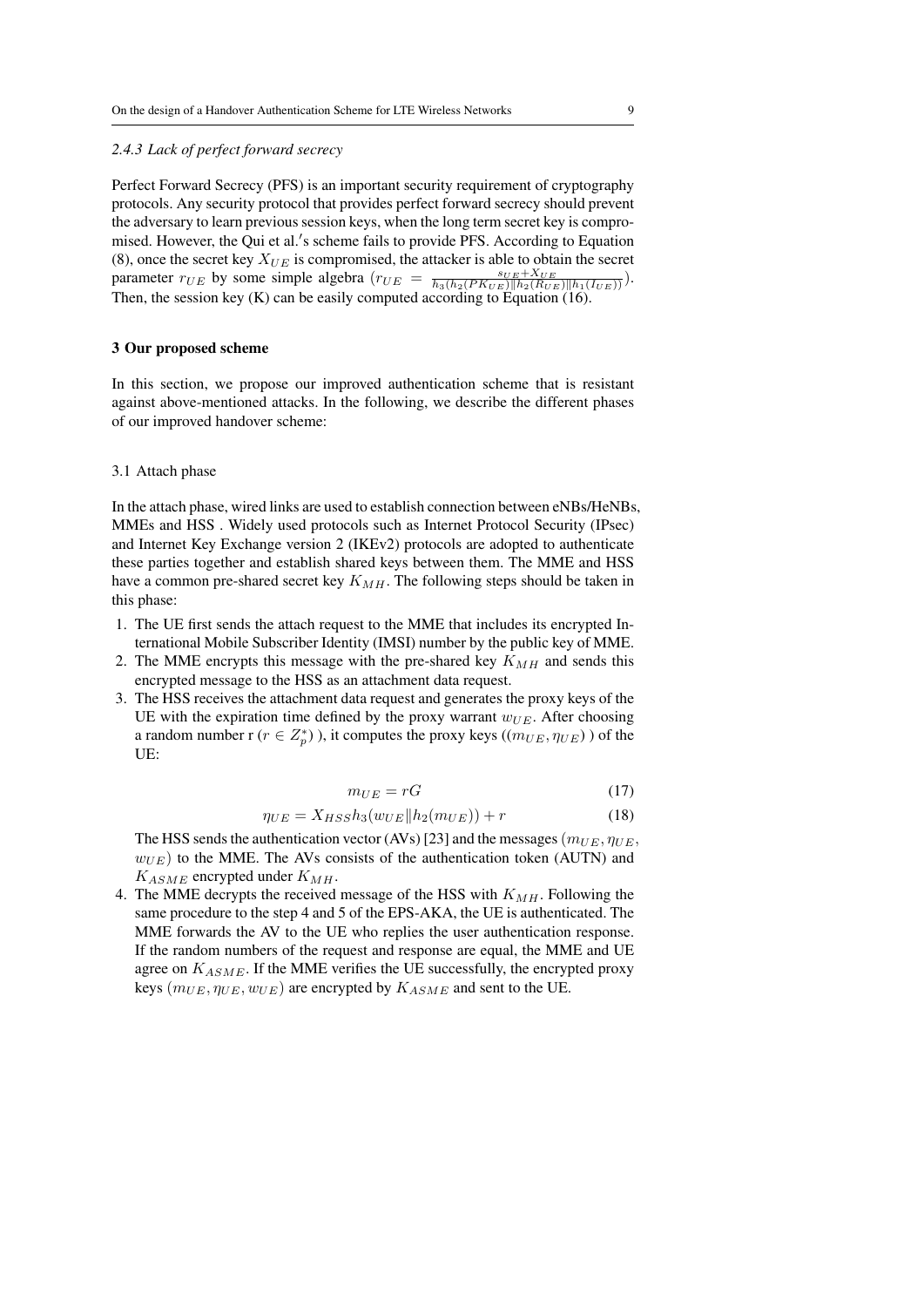#### *2.4.3 Lack of perfect forward secrecy*

Perfect Forward Secrecy (PFS) is an important security requirement of cryptography protocols. Any security protocol that provides perfect forward secrecy should prevent the adversary to learn previous session keys, when the long term secret key is compromised. However, the Qui et al.'s scheme fails to provide PFS. According to Equation (8), once the secret key  $X_{UE}$  is compromised, the attacker is able to obtain the secret parameter  $r_{UE}$  by some simple algebra  $(r_{UE} = \frac{s_{UE} + X_{UE}}{h_3(h_2(PK_{UE})||h_2(R_{UE})||h_1(I_{UE})})$ . Then, the session key (K) can be easily computed according to Equation (16).

#### 3 Our proposed scheme

In this section, we propose our improved authentication scheme that is resistant against above-mentioned attacks. In the following, we describe the different phases of our improved handover scheme:

#### 3.1 Attach phase

In the attach phase, wired links are used to establish connection between eNBs/HeNBs, MMEs and HSS . Widely used protocols such as Internet Protocol Security (IPsec) and Internet Key Exchange version 2 (IKEv2) protocols are adopted to authenticate these parties together and establish shared keys between them. The MME and HSS have a common pre-shared secret key  $K_{MH}$ . The following steps should be taken in this phase:

- 1. The UE first sends the attach request to the MME that includes its encrypted International Mobile Subscriber Identity (IMSI) number by the public key of MME.
- 2. The MME encrypts this message with the pre-shared key  $K_{MH}$  and sends this encrypted message to the HSS as an attachment data request.
- 3. The HSS receives the attachment data request and generates the proxy keys of the UE with the expiration time defined by the proxy warrant  $w_{UE}$ . After choosing a random number r ( $r \in Z_p^*$ ), it computes the proxy keys (( $m_{UE}, \eta_{UE}$ )) of the UE:

$$
m_{UE} = rG \tag{17}
$$

$$
\eta_{UE} = X_{HSS} h_3(w_{UE} || h_2(m_{UE})) + r \tag{18}
$$

The HSS sends the authentication vector (AVs) [23] and the messages ( $m_{UE}$ ,  $\eta_{UE}$ ,  $w_{UE}$ ) to the MME. The AVs consists of the authentication token (AUTN) and  $K_{ASME}$  encrypted under  $K_{MH}$ .

4. The MME decrypts the received message of the HSS with  $K_{MH}$ . Following the same procedure to the step 4 and 5 of the EPS-AKA, the UE is authenticated. The MME forwards the AV to the UE who replies the user authentication response. If the random numbers of the request and response are equal, the MME and UE agree on  $K_{ASME}$ . If the MME verifies the UE successfully, the encrypted proxy keys  $(m_{UE}, \eta_{UE}, w_{UE})$  are encrypted by  $K_{ASME}$  and sent to the UE.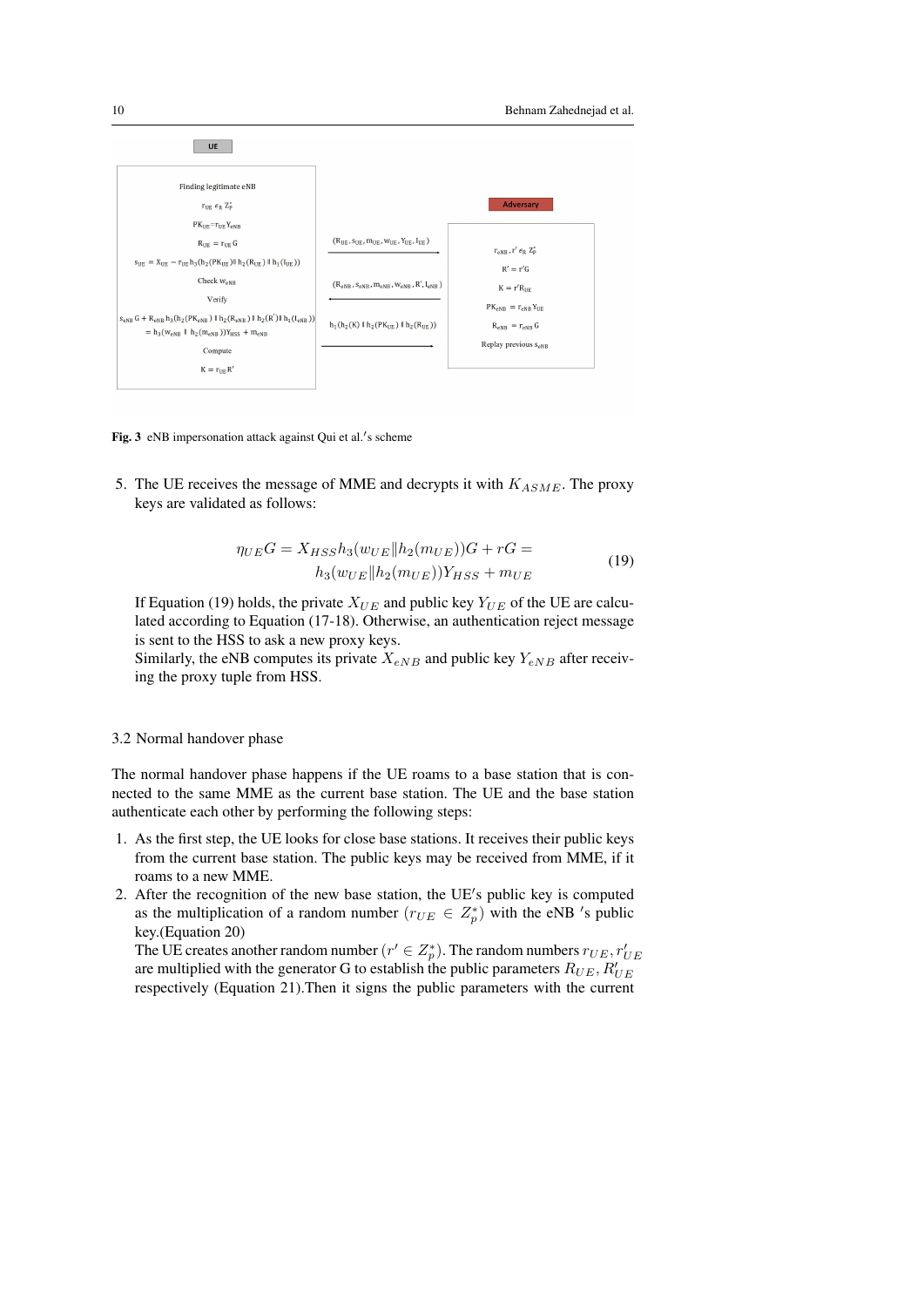

Fig. 3 eNB impersonation attack against Qui et al.'s scheme

5. The UE receives the message of MME and decrypts it with  $K_{ASME}$ . The proxy keys are validated as follows:

$$
\eta_{UE}G = X_{HSS}h_3(w_{UE}||h_2(m_{UE}))G + rG =
$$
  
\n
$$
h_3(w_{UE}||h_2(m_{UE}))Y_{HSS} + m_{UE}
$$
\n(19)

If Equation (19) holds, the private  $X_{UE}$  and public key  $Y_{UE}$  of the UE are calculated according to Equation (17-18). Otherwise, an authentication reject message is sent to the HSS to ask a new proxy keys.

Similarly, the eNB computes its private  $X_{eNB}$  and public key  $Y_{eNB}$  after receiving the proxy tuple from HSS.

#### 3.2 Normal handover phase

The normal handover phase happens if the UE roams to a base station that is connected to the same MME as the current base station. The UE and the base station authenticate each other by performing the following steps:

- 1. As the first step, the UE looks for close base stations. It receives their public keys from the current base station. The public keys may be received from MME, if it roams to a new MME.
- 2. After the recognition of the new base station, the UE's public key is computed as the multiplication of a random number  $(r_{UE} \in Z_p^*)$  with the eNB 's public key.(Equation 20)

The UE creates another random number  $(r' \in Z_p^*)$ . The random numbers  $r_{UE}$ ,  $r'_{UE}$ are multiplied with the generator G to establish the public parameters  $R_{UE}$ ,  $R_{UE}'$ respectively (Equation 21).Then it signs the public parameters with the current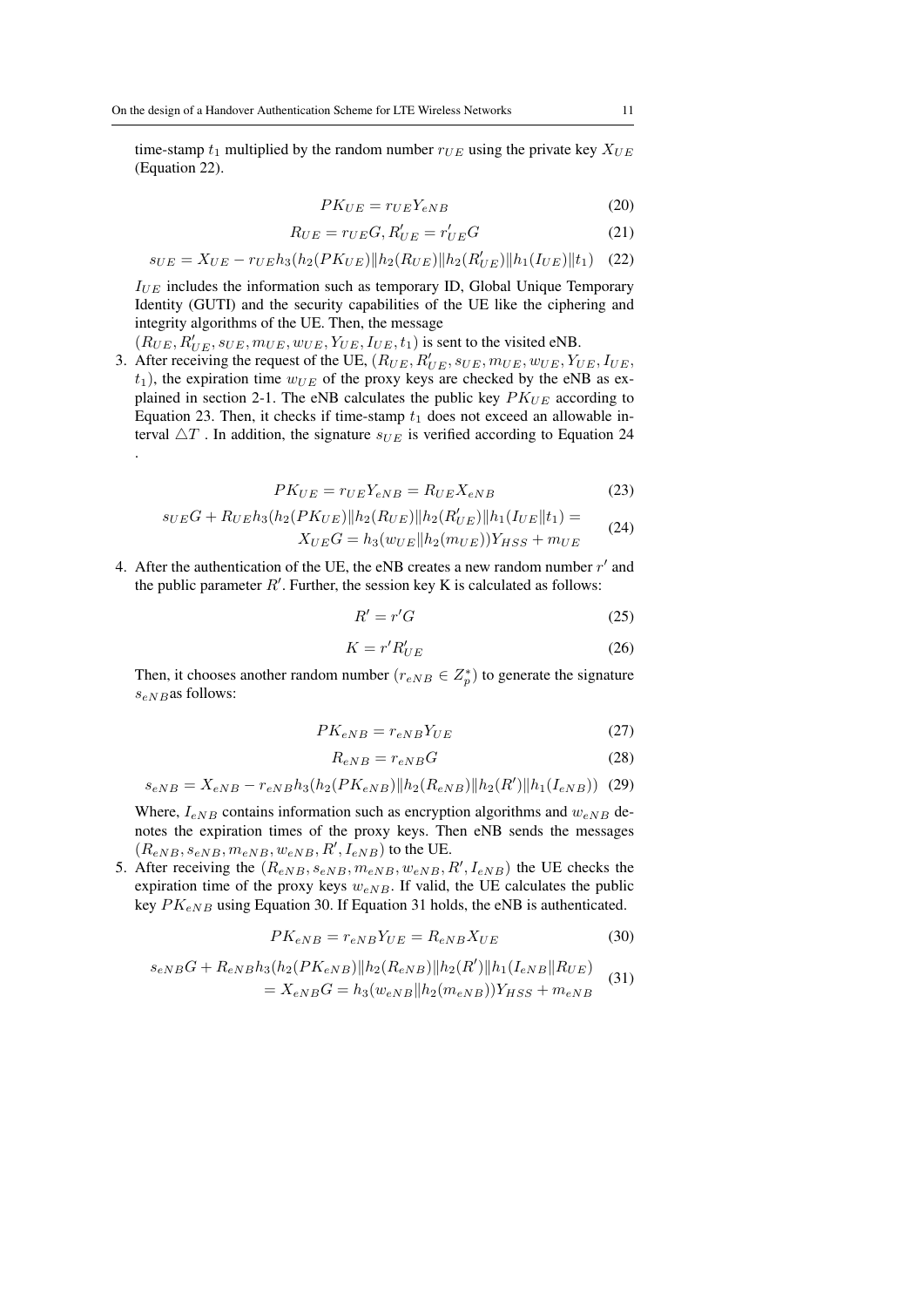time-stamp  $t_1$  multiplied by the random number  $r_{UE}$  using the private key  $X_{UE}$ (Equation 22).

$$
PK_{UE} = r_{UE}Y_{eNB} \tag{20}
$$

$$
R_{UE} = r_{UE}G, R'_{UE} = r'_{UE}G
$$
\n
$$
(21)
$$

$$
s_{UE} = X_{UE} - r_{UE}h_3(h_2(PK_{UE})||h_2(R_{UE})||h_2(R'_{UE})||h_1(I_{UE})||t_1)
$$
 (22)

 $I_{UE}$  includes the information such as temporary ID, Global Unique Temporary Identity (GUTI) and the security capabilities of the UE like the ciphering and integrity algorithms of the UE. Then, the message

 $(R_{UE}, R_{UE}', s_{UE}, m_{UE}, w_{UE}, Y_{UE}, I_{UE}, t_1)$  is sent to the visited eNB.

3. After receiving the request of the UE,  $(R_{UE}, R_{UE}', s_{UE}, m_{UE}, w_{UE}, Y_{UE}, I_{UE}$ ,  $t_1$ ), the expiration time  $w_{UE}$  of the proxy keys are checked by the eNB as explained in section 2-1. The eNB calculates the public key  $PK_{UE}$  according to Equation 23. Then, it checks if time-stamp  $t_1$  does not exceed an allowable interval  $\Delta T$ . In addition, the signature  $s_{UE}$  is verified according to Equation 24 .

$$
PK_{UE} = r_{UE}Y_{eNB} = R_{UE}X_{eNB}
$$
\n
$$
(23)
$$

$$
s_{UE}G + R_{UE}h_3(h_2(PK_{UE})||h_2(R_{UE})||h_2(R'_{UE})||h_1(I_{UE}||t_1) = (24)
$$

$$
X_{UE}G = h_3(w_{UE}||h_2(m_{UE}))Y_{HSS} + m_{UE}
$$

4. After the authentication of the UE, the eNB creates a new random number  $r'$  and the public parameter  $R'$ . Further, the session key K is calculated as follows:

$$
R' = r'G \tag{25}
$$

$$
K = r'R'_{UE} \tag{26}
$$

Then, it chooses another random number  $(r_{eNB} \in Z_p^*)$  to generate the signature  $s_{eNB}$ as follows:

$$
PK_{eNB} = r_{eNB}Y_{UE}
$$
\n<sup>(27)</sup>

$$
R_{eNB} = r_{eNB}G \tag{28}
$$

$$
s_{eNB} = X_{eNB} - r_{eNB}h_3(h_2(PK_{eNB})||h_2(R_{eNB})||h_2(R')||h_1(I_{eNB}))
$$
 (29)

Where,  $I_{eNB}$  contains information such as encryption algorithms and  $w_{eNB}$  denotes the expiration times of the proxy keys. Then eNB sends the messages  $(R_{eNB}, s_{eNB}, m_{eNB}, w_{eNB}, R', I_{eNB})$  to the UE.

5. After receiving the  $(R_{eNB}, s_{eNB}, m_{eNB}, w_{eNB}, R', I_{eNB})$  the UE checks the expiration time of the proxy keys  $w_{eNB}$ . If valid, the UE calculates the public key  $PK_{eNB}$  using Equation 30. If Equation 31 holds, the eNB is authenticated.

$$
PK_{eNB} = r_{eNB}Y_{UE} = R_{eNB}X_{UE}
$$
\n<sup>(30)</sup>

$$
s_{eNB}G + R_{eNB}h_3(h_2(PK_{eNB})||h_2(R_{eNB})||h_2(R')||h_1(I_{eNB}||R_{UE})
$$
  
=  $X_{eNB}G = h_3(w_{eNB}||h_2(m_{eNB}))Y_{HSS} + m_{eNB}$  (31)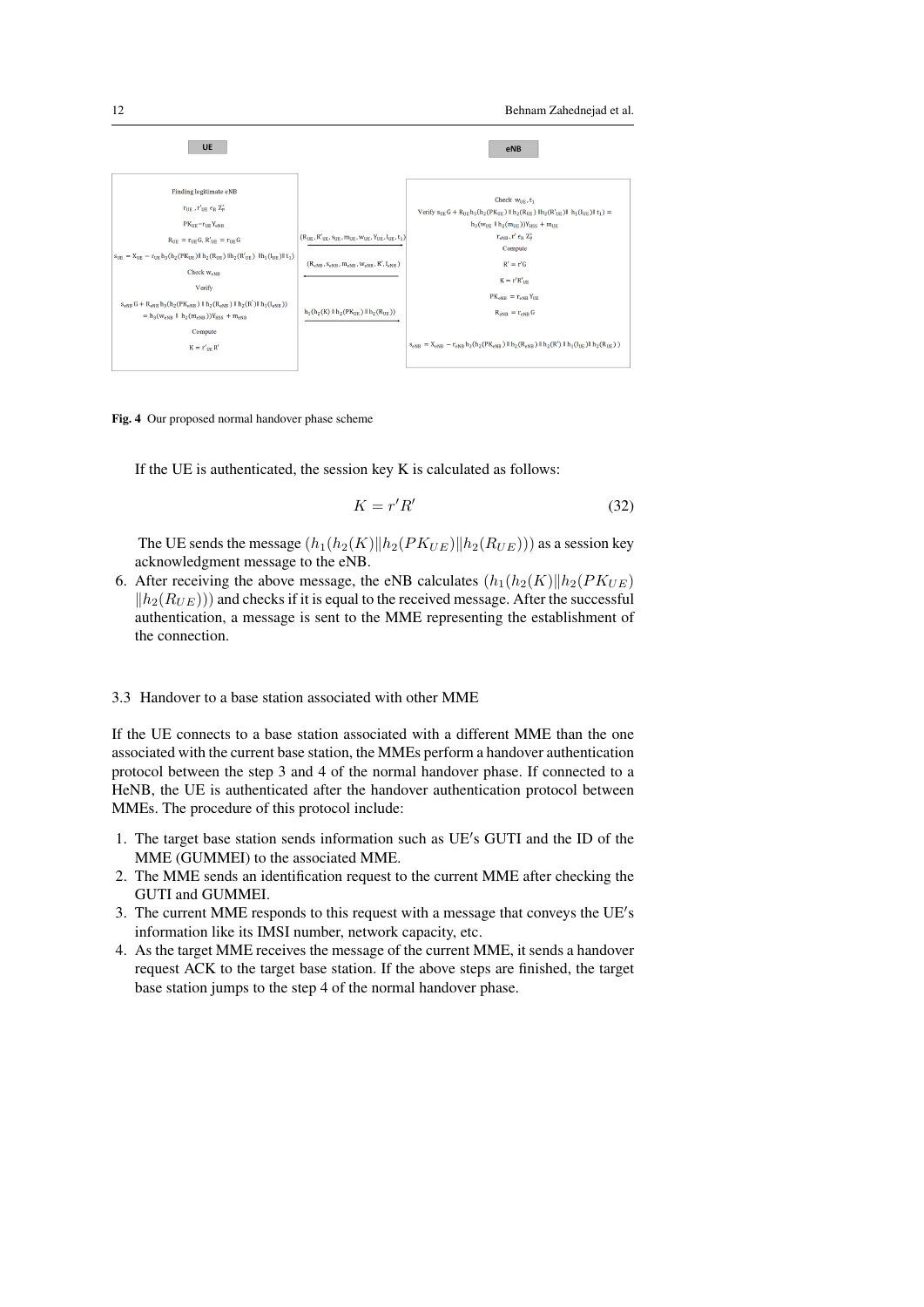12 Behnam Zahednejad et al.



Fig. 4 Our proposed normal handover phase scheme

If the UE is authenticated, the session key K is calculated as follows:

$$
K = r'R' \tag{32}
$$

The UE sends the message  $(h_1(h_2(K)||h_2(PK_{UE})||h_2(R_{UE}))$  as a session key acknowledgment message to the eNB.

6. After receiving the above message, the eNB calculates  $(h_1(h_2(K)||h_2(PK_{UE}))$  $|h_2(R_{UE}))$ ) and checks if it is equal to the received message. After the successful authentication, a message is sent to the MME representing the establishment of the connection.

#### 3.3 Handover to a base station associated with other MME

If the UE connects to a base station associated with a different MME than the one associated with the current base station, the MMEs perform a handover authentication protocol between the step 3 and 4 of the normal handover phase. If connected to a HeNB, the UE is authenticated after the handover authentication protocol between MMEs. The procedure of this protocol include:

- 1. The target base station sends information such as UE's GUTI and the ID of the MME (GUMMEI) to the associated MME.
- 2. The MME sends an identification request to the current MME after checking the GUTI and GUMMEI.
- 3. The current MME responds to this request with a message that conveys the UE's information like its IMSI number, network capacity, etc.
- 4. As the target MME receives the message of the current MME, it sends a handover request ACK to the target base station. If the above steps are finished, the target base station jumps to the step 4 of the normal handover phase.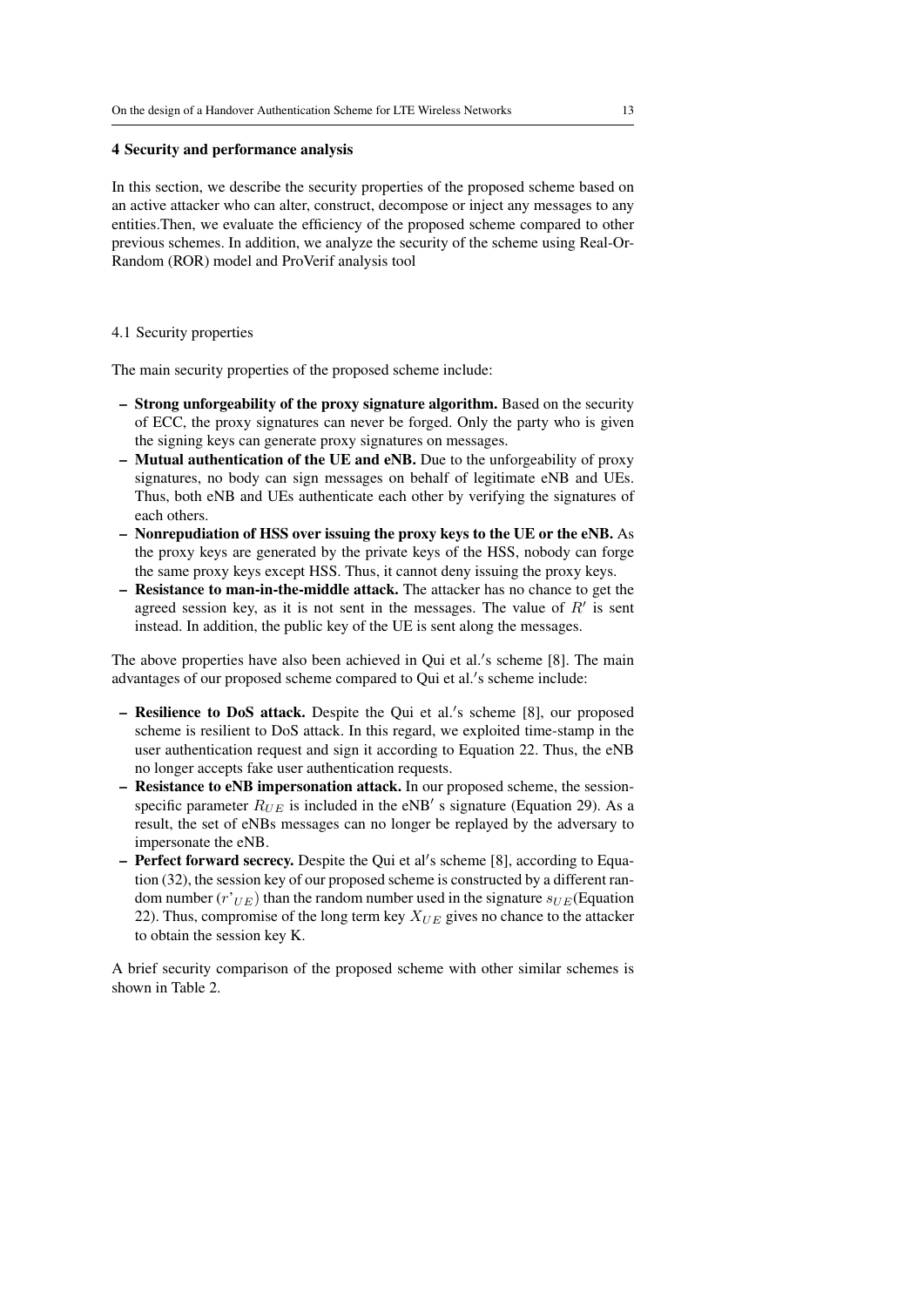#### 4 Security and performance analysis

In this section, we describe the security properties of the proposed scheme based on an active attacker who can alter, construct, decompose or inject any messages to any entities.Then, we evaluate the efficiency of the proposed scheme compared to other previous schemes. In addition, we analyze the security of the scheme using Real-Or-Random (ROR) model and ProVerif analysis tool

# 4.1 Security properties

The main security properties of the proposed scheme include:

- Strong unforgeability of the proxy signature algorithm. Based on the security of ECC, the proxy signatures can never be forged. Only the party who is given the signing keys can generate proxy signatures on messages.
- Mutual authentication of the UE and eNB. Due to the unforgeability of proxy signatures, no body can sign messages on behalf of legitimate eNB and UEs. Thus, both eNB and UEs authenticate each other by verifying the signatures of each others.
- Nonrepudiation of HSS over issuing the proxy keys to the UE or the eNB. As the proxy keys are generated by the private keys of the HSS, nobody can forge the same proxy keys except HSS. Thus, it cannot deny issuing the proxy keys.
- Resistance to man-in-the-middle attack. The attacker has no chance to get the agreed session key, as it is not sent in the messages. The value of  $R'$  is sent instead. In addition, the public key of the UE is sent along the messages.

The above properties have also been achieved in Qui et al.'s scheme [8]. The main advantages of our proposed scheme compared to Qui et al.'s scheme include:

- Resilience to DoS attack. Despite the Qui et al.'s scheme [8], our proposed scheme is resilient to DoS attack. In this regard, we exploited time-stamp in the user authentication request and sign it according to Equation 22. Thus, the eNB no longer accepts fake user authentication requests.
- Resistance to eNB impersonation attack. In our proposed scheme, the sessionspecific parameter  $R_{UE}$  is included in the eNB' s signature (Equation 29). As a result, the set of eNBs messages can no longer be replayed by the adversary to impersonate the eNB.
- Perfect forward secrecy. Despite the Qui et al's scheme [8], according to Equation (32), the session key of our proposed scheme is constructed by a different random number  $(r<sub>UE</sub>)$  than the random number used in the signature  $s<sub>UE</sub>$  (Equation 22). Thus, compromise of the long term key  $X_{UE}$  gives no chance to the attacker to obtain the session key K.

A brief security comparison of the proposed scheme with other similar schemes is shown in Table 2.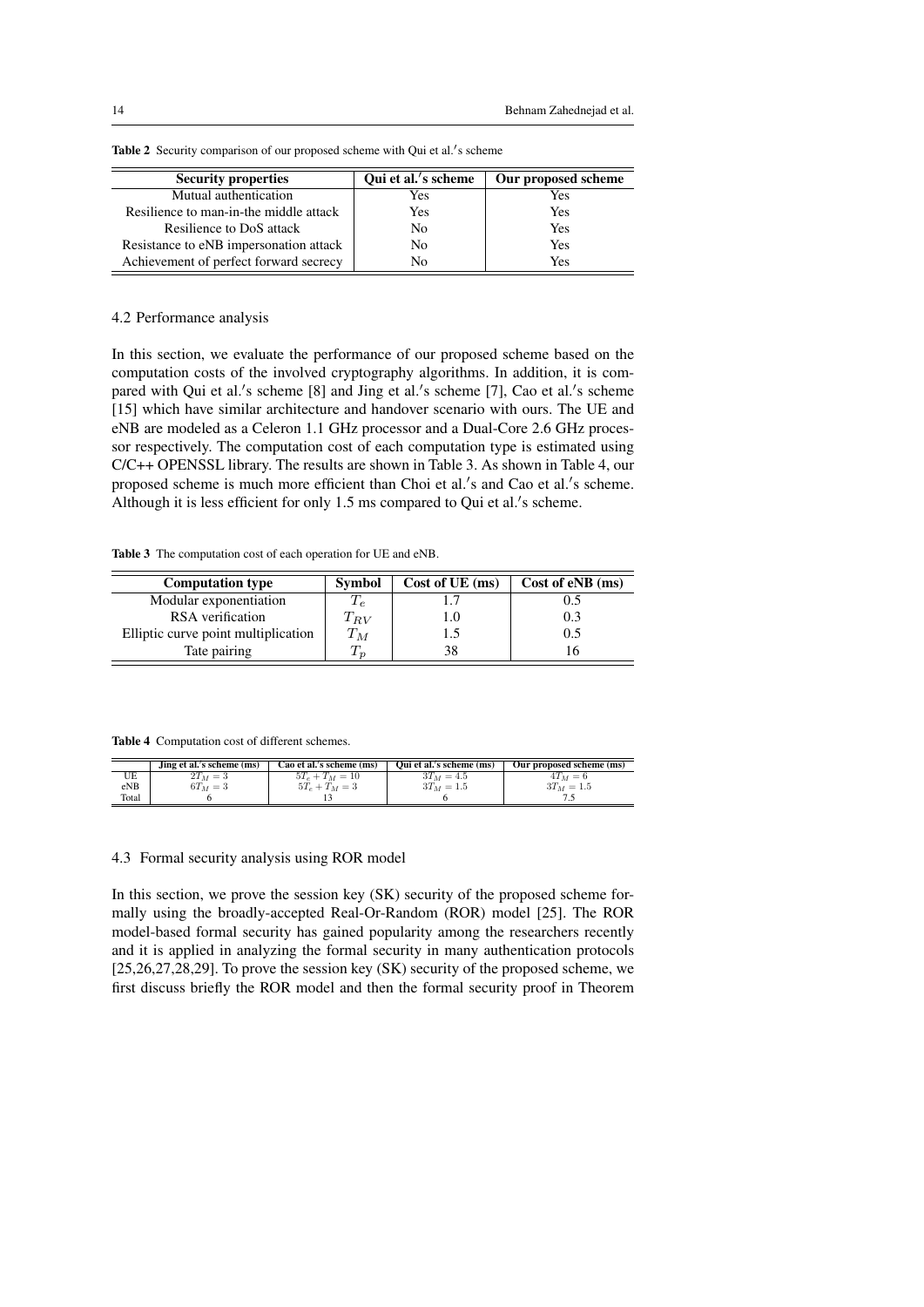| <b>Security properties</b>             | Qui et al.'s scheme | Our proposed scheme |
|----------------------------------------|---------------------|---------------------|
| Mutual authentication                  | Yes                 | Yes                 |
| Resilience to man-in-the middle attack | Yes                 | Yes                 |
| Resilience to DoS attack               | No                  | <b>Yes</b>          |
| Resistance to eNB impersonation attack | No                  | Yes                 |
| Achievement of perfect forward secrecy | No                  | Yes                 |

Table 2 Security comparison of our proposed scheme with Qui et al.'s scheme

#### 4.2 Performance analysis

In this section, we evaluate the performance of our proposed scheme based on the computation costs of the involved cryptography algorithms. In addition, it is compared with Qui et al.'s scheme [8] and Jing et al.'s scheme [7], Cao et al.'s scheme [15] which have similar architecture and handover scenario with ours. The UE and eNB are modeled as a Celeron 1.1 GHz processor and a Dual-Core 2.6 GHz processor respectively. The computation cost of each computation type is estimated using C/C++ OPENSSL library. The results are shown in Table 3. As shown in Table 4, our proposed scheme is much more efficient than Choi et al.'s and Cao et al.'s scheme. Although it is less efficient for only 1.5 ms compared to Qui et al.'s scheme.

Table 3 The computation cost of each operation for UE and eNB.

| <b>Computation type</b>             | <b>Symbol</b> | Cost of UE (ms) | Cost of eNB (ms) |
|-------------------------------------|---------------|-----------------|------------------|
| Modular exponentiation              |               |                 | 0.5              |
| RSA verification                    | $I_{RV}$      | 1.0             | 0.3              |
| Elliptic curve point multiplication | $T_M$         | 1.5             | 0.5              |
| Tate pairing                        |               | 38              |                  |

# Table 4 Computation cost of different schemes.

|       | Jing et al.'s scheme (ms) | Cao et al.'s scheme (ms) | Qui et al.'s scheme (ms) | Our proposed scheme (ms) |
|-------|---------------------------|--------------------------|--------------------------|--------------------------|
| UE    | $2T_M=3$                  | $5T_e + T_M = 10$        | $3T_M = 4.5$             | $4T_M=6$                 |
| eNB   | $6T_M=3$                  | $5T_e + T_M = 3$         | $3T_M = 1.5$             | $3T_M = 1.5$             |
| Total |                           |                          |                          |                          |

# 4.3 Formal security analysis using ROR model

In this section, we prove the session key (SK) security of the proposed scheme formally using the broadly-accepted Real-Or-Random (ROR) model [25]. The ROR model-based formal security has gained popularity among the researchers recently and it is applied in analyzing the formal security in many authentication protocols [25,26,27,28,29]. To prove the session key (SK) security of the proposed scheme, we first discuss briefly the ROR model and then the formal security proof in Theorem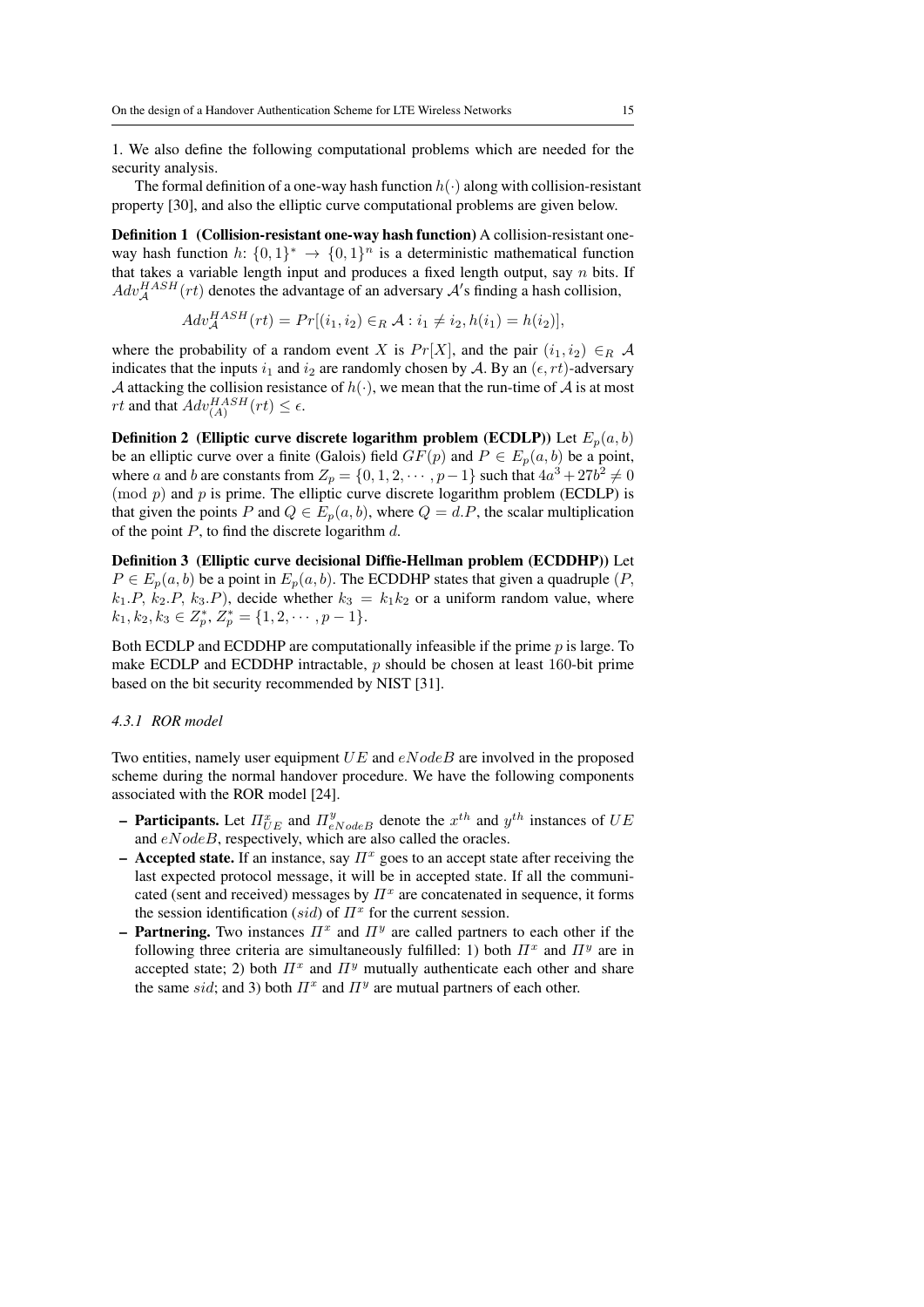1. We also define the following computational problems which are needed for the security analysis.

The formal definition of a one-way hash function  $h(\cdot)$  along with collision-resistant property [30], and also the elliptic curve computational problems are given below.

Definition 1 (Collision-resistant one-way hash function) A collision-resistant oneway hash function  $h: \{0,1\}^* \to \{0,1\}^n$  is a deterministic mathematical function that takes a variable length input and produces a fixed length output, say  $n$  bits. If  $Adv_{\mathcal{A}}^{HASH}(rt)$  denotes the advantage of an adversary  $\mathcal{A}'$ s finding a hash collision,

$$
Adv_{\mathcal{A}}^{HASH}(rt) = Pr[(i_1, i_2) \in_R \mathcal{A} : i_1 \neq i_2, h(i_1) = h(i_2)],
$$

where the probability of a random event X is  $Pr[X]$ , and the pair  $(i_1, i_2) \in_R \mathcal{A}$ indicates that the inputs  $i_1$  and  $i_2$  are randomly chosen by A. By an  $(\epsilon, rt)$ -adversary A attacking the collision resistance of  $h(.)$ , we mean that the run-time of A is at most *rt* and that  $Adv_{(A)}^{HASH}(rt) \leq \epsilon$ .

**Definition 2** (Elliptic curve discrete logarithm problem (ECDLP)) Let  $E_p(a, b)$ be an elliptic curve over a finite (Galois) field  $GF(p)$  and  $P \in E_p(a, b)$  be a point, where a and b are constants from  $Z_p = \{0, 1, 2, \dots, p-1\}$  such that  $4a^3 + 27b^2 \neq 0$ (mod  $p$ ) and  $p$  is prime. The elliptic curve discrete logarithm problem (ECDLP) is that given the points P and  $Q \in E_p(a, b)$ , where  $Q = d.P$ , the scalar multiplication of the point  $P$ , to find the discrete logarithm  $d$ .

Definition 3 (Elliptic curve decisional Diffie-Hellman problem (ECDDHP)) Let  $P \in E_p(a, b)$  be a point in  $E_p(a, b)$ . The ECDDHP states that given a quadruple (P,  $k_1.P, k_2.P, k_3.P$ , decide whether  $k_3 = k_1 k_2$  or a uniform random value, where  $k_1, k_2, k_3 \in Z_p^*, Z_p^* = \{1, 2, \cdots, p-1\}.$ 

Both ECDLP and ECDDHP are computationally infeasible if the prime  $p$  is large. To make ECDLP and ECDDHP intractable, p should be chosen at least 160-bit prime based on the bit security recommended by NIST [31].

### *4.3.1 ROR model*

Two entities, namely user equipment  $UE$  and  $eNodeB$  are involved in the proposed scheme during the normal handover procedure. We have the following components associated with the ROR model [24].

- **Participants.** Let  $\Pi_{UE}^x$  and  $\Pi_{eNodeB}^y$  denote the  $x^{th}$  and  $y^{th}$  instances of  $UE$ and  $eNodeB$ , respectively, which are also called the oracles.
- Accepted state. If an instance, say  $\Pi^x$  goes to an accept state after receiving the last expected protocol message, it will be in accepted state. If all the communicated (sent and received) messages by  $\Pi^x$  are concatenated in sequence, it forms the session identification (sid) of  $\Pi^x$  for the current session.
- **Partnering.** Two instances  $\Pi^x$  and  $\Pi^y$  are called partners to each other if the following three criteria are simultaneously fulfilled: 1) both  $\Pi^x$  and  $\Pi^y$  are in accepted state; 2) both  $\Pi^x$  and  $\Pi^y$  mutually authenticate each other and share the same sid; and 3) both  $\Pi^x$  and  $\Pi^y$  are mutual partners of each other.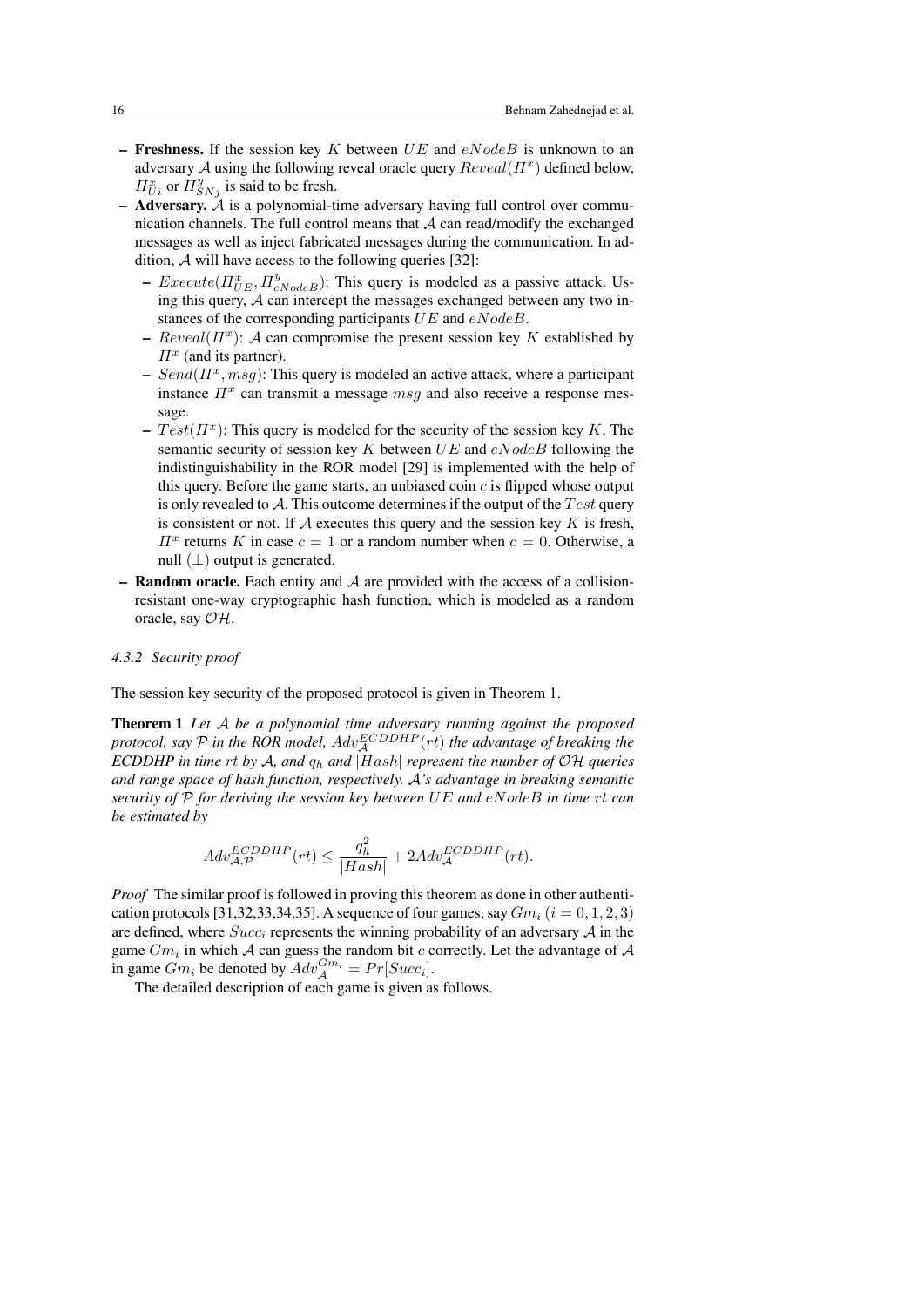- Freshness. If the session key K between  $UE$  and  $eNodeB$  is unknown to an adversary A using the following reveal oracle query  $Reveal(\Pi^x)$  defined below,  $\Pi_{Ui}^{x}$  or  $\Pi_{SNj}^{y}$  is said to be fresh.
- Adversary.  $\hat{A}$  is a polynomial-time adversary having full control over communication channels. The full control means that  $A$  can read/modify the exchanged messages as well as inject fabricated messages during the communication. In addition,  $A$  will have access to the following queries [32]:
	- $Execute(\Pi_{UE}^x, \Pi_{eNodeB}^y)$ : This query is modeled as a passive attack. Using this query,  $A$  can intercept the messages exchanged between any two instances of the corresponding participants UE and eNodeB.
	- $Reveal(\Pi^x)$ : A can compromise the present session key K established by  $\Pi^x$  (and its partner).
	- $Send(\Pi^x, msg)$ : This query is modeled an active attack, where a participant instance  $\Pi^x$  can transmit a message  $msg$  and also receive a response message.
	- $Test(\Pi^x)$ : This query is modeled for the security of the session key K. The semantic security of session key  $K$  between  $UE$  and  $eNodeB$  following the indistinguishability in the ROR model [29] is implemented with the help of this query. Before the game starts, an unbiased coin  $c$  is flipped whose output is only revealed to A. This outcome determines if the output of the  $Test$  query is consistent or not. If  $A$  executes this query and the session key  $K$  is fresh,  $\Pi^x$  returns K in case  $c = 1$  or a random number when  $c = 0$ . Otherwise, a null  $($  $\bot)$  output is generated.
- Random oracle. Each entity and  $A$  are provided with the access of a collisionresistant one-way cryptographic hash function, which is modeled as a random oracle, say OH.

# *4.3.2 Security proof*

The session key security of the proposed protocol is given in Theorem 1.

Theorem 1 *Let* A *be a polynomial time adversary running against the proposed* protocol, say  $\mathcal P$  in the ROR model,  $Adv_{\mathcal A}^{ECDDHP}(rt)$  the advantage of breaking the *ECDDHP in time* rt *by* A*, and* q<sup>h</sup> *and* |Hash| *represent the number of* OH *queries and range space of hash function, respectively.* A*'s advantage in breaking semantic security of* P *for deriving the session key between* UE *and* eNodeB *in time* rt *can be estimated by*

$$
Adv_{\mathcal{A},\mathcal{P}}^{ECDDHP}(rt) \le \frac{q_h^2}{|Hash|} + 2Adv_{\mathcal{A}}^{ECDDHP}(rt).
$$

*Proof* The similar proof is followed in proving this theorem as done in other authentication protocols [31,32,33,34,35]. A sequence of four games, say  $Gm_i$  ( $i = 0, 1, 2, 3$ ) are defined, where  $Succ_i$  represents the winning probability of an adversary  $\mathcal A$  in the game  $Gm_i$  in which A can guess the random bit c correctly. Let the advantage of A in game  $Gm_i$  be denoted by  $Adv_{\mathcal{A}}^{Gm_i} = Pr[Succ_i].$ 

The detailed description of each game is given as follows.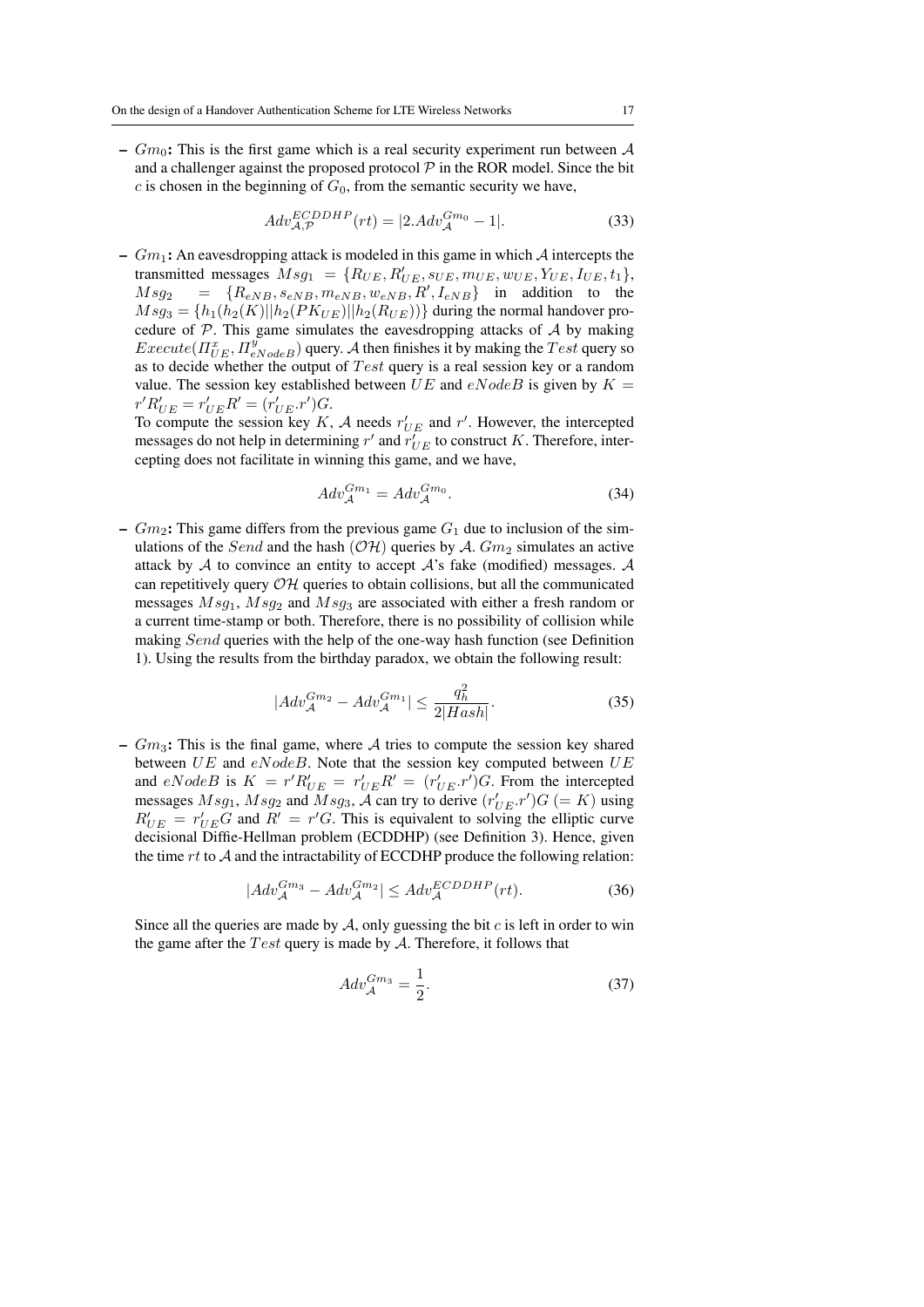–  $Gm_0$ : This is the first game which is a real security experiment run between A and a challenger against the proposed protocol  $P$  in the ROR model. Since the bit  $c$  is chosen in the beginning of  $G_0$ , from the semantic security we have,

$$
Adv_{\mathcal{A},\mathcal{P}}^{ECDDHP}(rt) = |2.A dv_{\mathcal{A}}^{Gm_0} - 1|.
$$
 (33)

–  $Gm_1$ : An eavesdropping attack is modeled in this game in which A intercepts the transmitted messages  $Msg_1 = \{R_{UE}, R'_{UE}, s_{UE}, m_{UE}, w_{UE}, Y_{UE}, I_{UE}, t_1\},\$  $Msg_2 = \{R_{eNB}, s_{eNB}, m_{eNB}, w_{eNB}, R', I_{eNB}\}\$  in addition to the  $Msg_3 = {h_1(h_2(K)||h_2(PK_{UE})||h_2(R_{UE}))}$  during the normal handover procedure of  $P$ . This game simulates the eavesdropping attacks of  $A$  by making  $Execute(\Pi_{UE}^x, \Pi_{eNodeB}^y)$  query. A then finishes it by making the Test query so as to decide whether the output of  $Test$  query is a real session key or a random value. The session key established between UE and  $eNodeB$  is given by  $K =$  $r' R'_{UE} = r'_{UE} R' = (r'_{UE}.r') G.$ 

To compute the session key K, A needs  $r'_{UE}$  and r'. However, the intercepted messages do not help in determining  $r'$  and  $r'_{UE}$  to construct K. Therefore, intercepting does not facilitate in winning this game, and we have,

$$
Adv_{\mathcal{A}}^{Gm_1} = Adv_{\mathcal{A}}^{Gm_0}.
$$
 (34)

–  $Gm_2$ : This game differs from the previous game  $G_1$  due to inclusion of the simulations of the Send and the hash (OH) queries by A.  $Gm<sub>2</sub>$  simulates an active attack by A to convince an entity to accept A's fake (modified) messages. A can repetitively query  $\mathcal{OH}$  queries to obtain collisions, but all the communicated messages  $Msg_1$ ,  $Msg_2$  and  $Msg_3$  are associated with either a fresh random or a current time-stamp or both. Therefore, there is no possibility of collision while making Send queries with the help of the one-way hash function (see Definition 1). Using the results from the birthday paradox, we obtain the following result:

$$
|Adv_{\mathcal{A}}^{Gm_2} - Adv_{\mathcal{A}}^{Gm_1}| \le \frac{q_h^2}{2|Hash|}.
$$
 (35)

–  $Gm<sub>3</sub>$ : This is the final game, where A tries to compute the session key shared between  $UE$  and  $eNodeB$ . Note that the session key computed between  $UE$ and  $eNodeB$  is  $K = r'R'_{UE} = r'_{UE}R' = (r'_{UE}.r')G$ . From the intercepted messages  $Msg_1$ ,  $Msg_2$  and  $Msg_3$ ,  $\tilde{\mathcal{A}}$  can try to derive  $(r'_{UE}.r')G (= K)$  using  $R'_{UE} = r'_{UE}G$  and  $R' = r'G$ . This is equivalent to solving the elliptic curve decisional Diffie-Hellman problem (ECDDHP) (see Definition 3). Hence, given the time  $rt$  to  $A$  and the intractability of ECCDHP produce the following relation:

$$
|Adv_{\mathcal{A}}^{Gm_3} - Adv_{\mathcal{A}}^{Gm_2}| \le Adv_{\mathcal{A}}^{ECDDHP}(rt). \tag{36}
$$

Since all the queries are made by  $A$ , only guessing the bit  $c$  is left in order to win the game after the  $Test$  query is made by  $A$ . Therefore, it follows that

$$
Adv_{\mathcal{A}}^{Gm_3} = \frac{1}{2}.
$$
\n(37)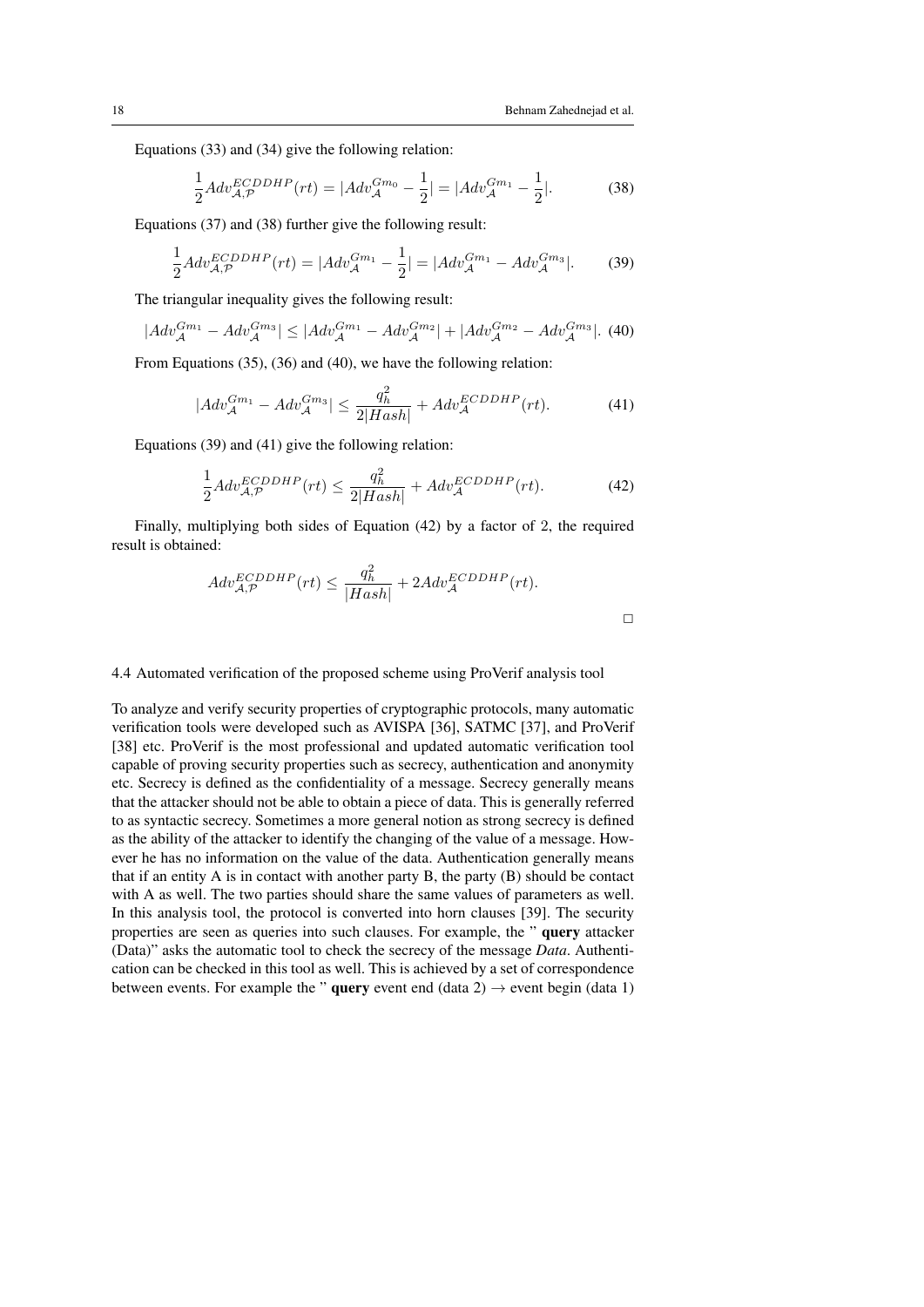$\Box$ 

Equations (33) and (34) give the following relation:

$$
\frac{1}{2}A dv_{\mathcal{A},\mathcal{P}}^{ECDDHP}(rt) = |A dv_{\mathcal{A}}^{Gm_0} - \frac{1}{2}| = |A dv_{\mathcal{A}}^{Gm_1} - \frac{1}{2}|.
$$
 (38)

Equations (37) and (38) further give the following result:

$$
\frac{1}{2}Adv_{\mathcal{A},\mathcal{P}}^{ECDDHP}(rt) = |Adv_{\mathcal{A}}^{Gm_1} - \frac{1}{2}| = |Adv_{\mathcal{A}}^{Gm_1} - Adv_{\mathcal{A}}^{Gm_3}|.
$$
 (39)

The triangular inequality gives the following result:

$$
|Adv_{\mathcal{A}}^{Gm_1} - Adv_{\mathcal{A}}^{Gm_3}| \le |Adv_{\mathcal{A}}^{Gm_1} - Adv_{\mathcal{A}}^{Gm_2}| + |Adv_{\mathcal{A}}^{Gm_2} - Adv_{\mathcal{A}}^{Gm_3}|.
$$
 (40)

From Equations (35), (36) and (40), we have the following relation:

$$
|Adv_{\mathcal{A}}^{Gm_1} - Adv_{\mathcal{A}}^{Gm_3}| \le \frac{q_h^2}{2|Hash|} + Adv_{\mathcal{A}}^{ECDDHP}(rt). \tag{41}
$$

Equations (39) and (41) give the following relation:

$$
\frac{1}{2}Adv_{\mathcal{A},\mathcal{P}}^{ECDDHP}(rt) \le \frac{q_h^2}{2|Hash|} + Adv_{\mathcal{A}}^{ECDDHP}(rt). \tag{42}
$$

Finally, multiplying both sides of Equation (42) by a factor of 2, the required result is obtained:

$$
Adv_{\mathcal{A},\mathcal{P}}^{ECDDHP}(rt) \le \frac{q_h^2}{|Hash|} + 2Adv_{\mathcal{A}}^{ECDDHP}(rt).
$$

4.4 Automated verification of the proposed scheme using ProVerif analysis tool

To analyze and verify security properties of cryptographic protocols, many automatic verification tools were developed such as AVISPA [36], SATMC [37], and ProVerif [38] etc. ProVerif is the most professional and updated automatic verification tool capable of proving security properties such as secrecy, authentication and anonymity etc. Secrecy is defined as the confidentiality of a message. Secrecy generally means that the attacker should not be able to obtain a piece of data. This is generally referred to as syntactic secrecy. Sometimes a more general notion as strong secrecy is defined as the ability of the attacker to identify the changing of the value of a message. However he has no information on the value of the data. Authentication generally means that if an entity A is in contact with another party B, the party (B) should be contact with A as well. The two parties should share the same values of parameters as well. In this analysis tool, the protocol is converted into horn clauses [39]. The security properties are seen as queries into such clauses. For example, the " query attacker (Data)" asks the automatic tool to check the secrecy of the message *Data*. Authentication can be checked in this tool as well. This is achieved by a set of correspondence between events. For example the " **query** event end (data 2)  $\rightarrow$  event begin (data 1)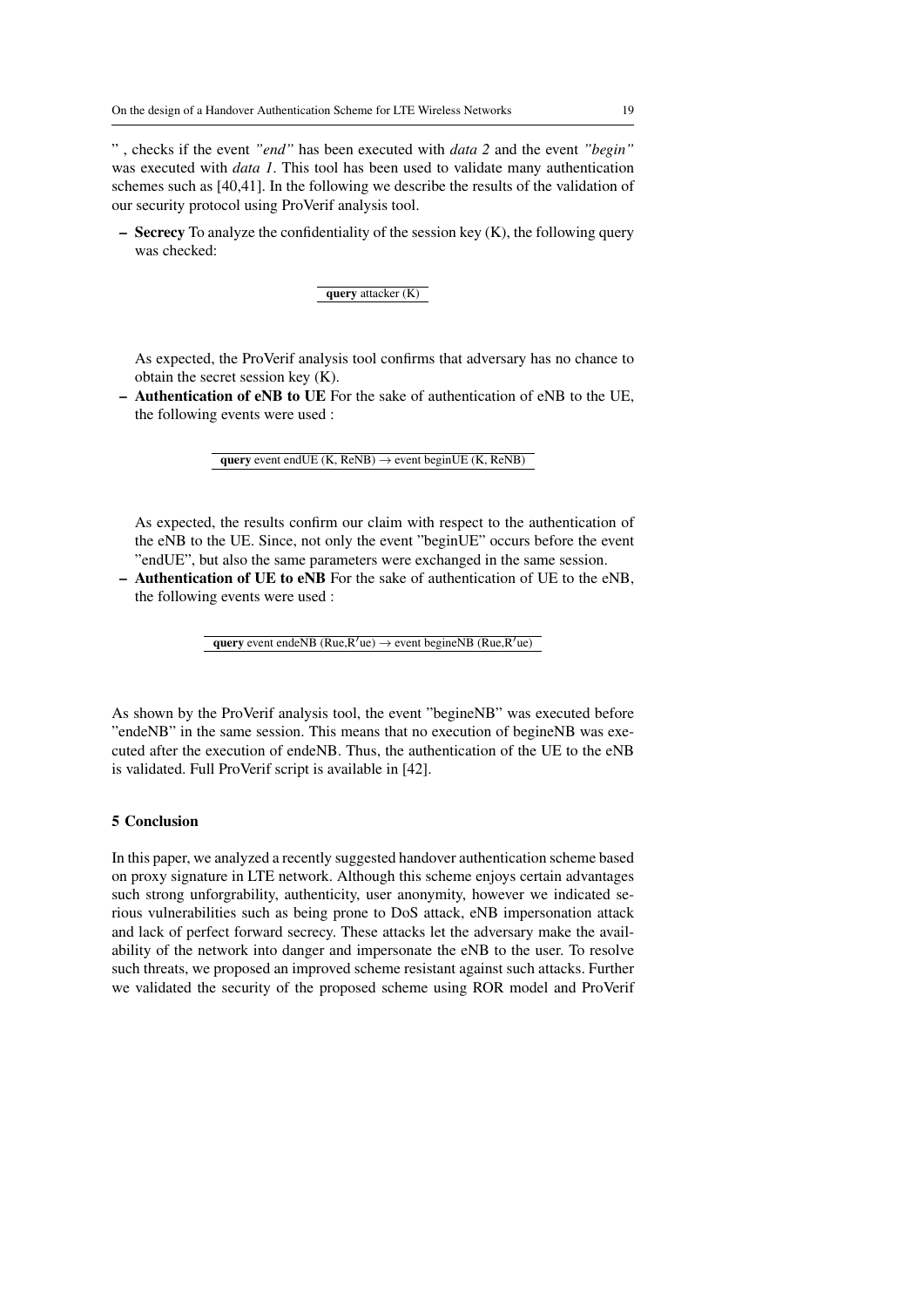" , checks if the event *"end"* has been executed with *data 2* and the event *"begin"* was executed with *data 1*. This tool has been used to validate many authentication schemes such as [40,41]. In the following we describe the results of the validation of our security protocol using ProVerif analysis tool.

 $-$  Secrecy To analyze the confidentiality of the session key  $(K)$ , the following query was checked:

query attacker (K)

As expected, the ProVerif analysis tool confirms that adversary has no chance to obtain the secret session key (K).

– Authentication of eNB to UE For the sake of authentication of eNB to the UE, the following events were used :

query event endUE (K, ReNB)  $\rightarrow$  event beginUE (K, ReNB)

As expected, the results confirm our claim with respect to the authentication of the eNB to the UE. Since, not only the event "beginUE" occurs before the event "endUE", but also the same parameters were exchanged in the same session.

– Authentication of UE to eNB For the sake of authentication of UE to the eNB, the following events were used :

query event endeNB (Rue,R'ue)  $\rightarrow$  event begineNB (Rue,R'ue)

As shown by the ProVerif analysis tool, the event "begineNB" was executed before "endeNB" in the same session. This means that no execution of begineNB was executed after the execution of endeNB. Thus, the authentication of the UE to the eNB is validated. Full ProVerif script is available in [42].

## 5 Conclusion

In this paper, we analyzed a recently suggested handover authentication scheme based on proxy signature in LTE network. Although this scheme enjoys certain advantages such strong unforgrability, authenticity, user anonymity, however we indicated serious vulnerabilities such as being prone to DoS attack, eNB impersonation attack and lack of perfect forward secrecy. These attacks let the adversary make the availability of the network into danger and impersonate the eNB to the user. To resolve such threats, we proposed an improved scheme resistant against such attacks. Further we validated the security of the proposed scheme using ROR model and ProVerif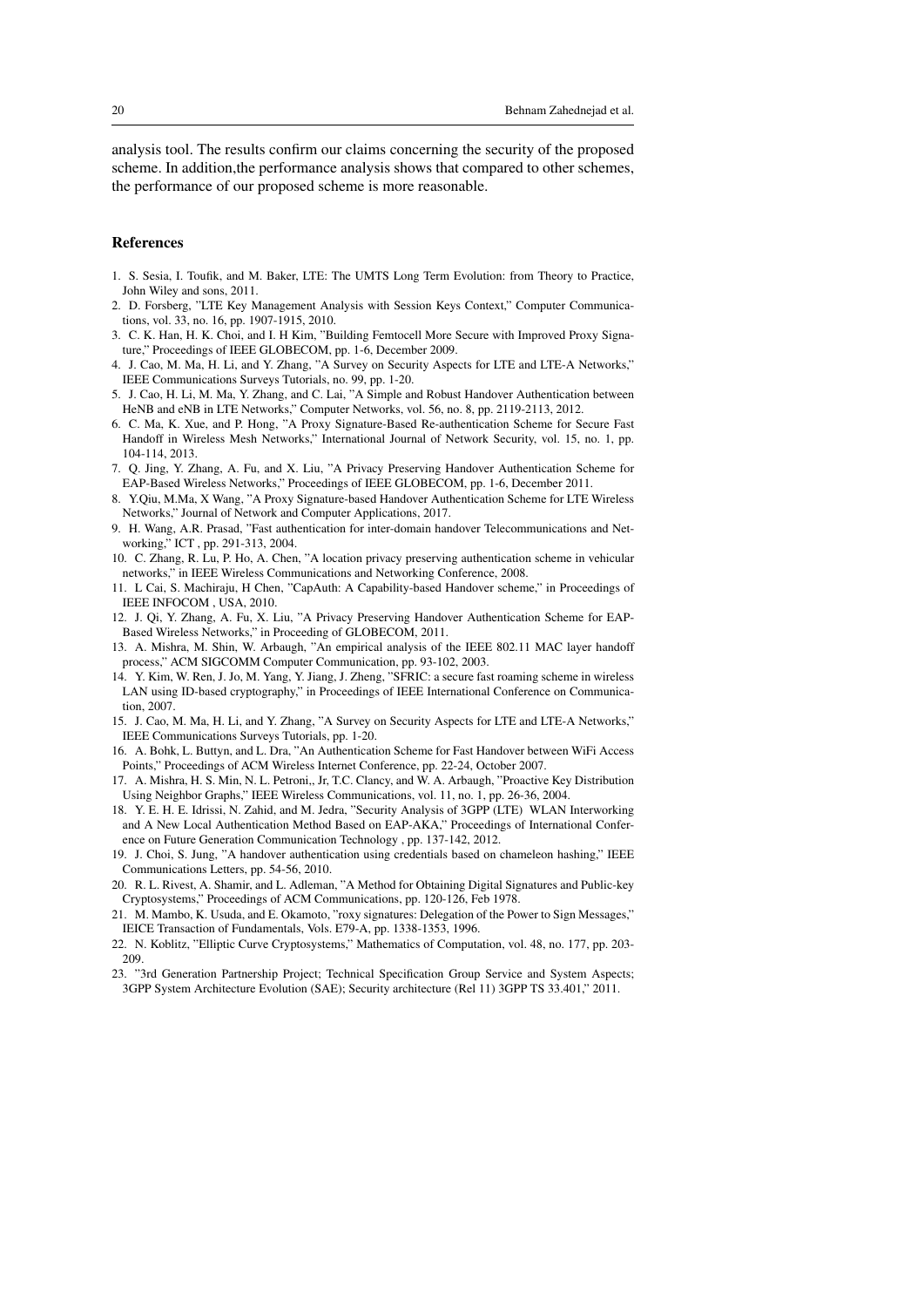analysis tool. The results confirm our claims concerning the security of the proposed scheme. In addition,the performance analysis shows that compared to other schemes, the performance of our proposed scheme is more reasonable.

#### References

- 1. S. Sesia, I. Toufik, and M. Baker, LTE: The UMTS Long Term Evolution: from Theory to Practice, John Wiley and sons, 2011.
- 2. D. Forsberg, "LTE Key Management Analysis with Session Keys Context," Computer Communications, vol. 33, no. 16, pp. 1907-1915, 2010.
- 3. C. K. Han, H. K. Choi, and I. H Kim, "Building Femtocell More Secure with Improved Proxy Signature," Proceedings of IEEE GLOBECOM, pp. 1-6, December 2009.
- 4. J. Cao, M. Ma, H. Li, and Y. Zhang, "A Survey on Security Aspects for LTE and LTE-A Networks," IEEE Communications Surveys Tutorials, no. 99, pp. 1-20.
- 5. J. Cao, H. Li, M. Ma, Y. Zhang, and C. Lai, "A Simple and Robust Handover Authentication between HeNB and eNB in LTE Networks," Computer Networks, vol. 56, no. 8, pp. 2119-2113, 2012.
- 6. C. Ma, K. Xue, and P. Hong, "A Proxy Signature-Based Re-authentication Scheme for Secure Fast Handoff in Wireless Mesh Networks," International Journal of Network Security, vol. 15, no. 1, pp. 104-114, 2013.
- 7. Q. Jing, Y. Zhang, A. Fu, and X. Liu, "A Privacy Preserving Handover Authentication Scheme for EAP-Based Wireless Networks," Proceedings of IEEE GLOBECOM, pp. 1-6, December 2011.
- 8. Y.Qiu, M.Ma, X Wang, "A Proxy Signature-based Handover Authentication Scheme for LTE Wireless Networks," Journal of Network and Computer Applications, 2017.
- 9. H. Wang, A.R. Prasad, "Fast authentication for inter-domain handover Telecommunications and Networking," ICT , pp. 291-313, 2004.
- 10. C. Zhang, R. Lu, P. Ho, A. Chen, "A location privacy preserving authentication scheme in vehicular networks," in IEEE Wireless Communications and Networking Conference, 2008.
- 11. L Cai, S. Machiraju, H Chen, "CapAuth: A Capability-based Handover scheme," in Proceedings of IEEE INFOCOM , USA, 2010.
- 12. J. Qi, Y. Zhang, A. Fu, X. Liu, "A Privacy Preserving Handover Authentication Scheme for EAP-Based Wireless Networks," in Proceeding of GLOBECOM, 2011.
- 13. A. Mishra, M. Shin, W. Arbaugh, "An empirical analysis of the IEEE 802.11 MAC layer handoff process," ACM SIGCOMM Computer Communication, pp. 93-102, 2003.
- 14. Y. Kim, W. Ren, J. Jo, M. Yang, Y. Jiang, J. Zheng, "SFRIC: a secure fast roaming scheme in wireless LAN using ID-based cryptography," in Proceedings of IEEE International Conference on Communication, 2007.
- 15. J. Cao, M. Ma, H. Li, and Y. Zhang, "A Survey on Security Aspects for LTE and LTE-A Networks," IEEE Communications Surveys Tutorials, pp. 1-20.
- 16. A. Bohk, L. Buttyn, and L. Dra, "An Authentication Scheme for Fast Handover between WiFi Access Points," Proceedings of ACM Wireless Internet Conference, pp. 22-24, October 2007.
- 17. A. Mishra, H. S. Min, N. L. Petroni,, Jr, T.C. Clancy, and W. A. Arbaugh, "Proactive Key Distribution Using Neighbor Graphs," IEEE Wireless Communications, vol. 11, no. 1, pp. 26-36, 2004.
- 18. Y. E. H. E. Idrissi, N. Zahid, and M. Jedra, "Security Analysis of 3GPP (LTE) WLAN Interworking and A New Local Authentication Method Based on EAP-AKA," Proceedings of International Conference on Future Generation Communication Technology , pp. 137-142, 2012.
- 19. J. Choi, S. Jung, "A handover authentication using credentials based on chameleon hashing," IEEE Communications Letters, pp. 54-56, 2010.
- 20. R. L. Rivest, A. Shamir, and L. Adleman, "A Method for Obtaining Digital Signatures and Public-key Cryptosystems," Proceedings of ACM Communications, pp. 120-126, Feb 1978.
- 21. M. Mambo, K. Usuda, and E. Okamoto, "roxy signatures: Delegation of the Power to Sign Messages," IEICE Transaction of Fundamentals, Vols. E79-A, pp. 1338-1353, 1996.
- 22. N. Koblitz, "Elliptic Curve Cryptosystems," Mathematics of Computation, vol. 48, no. 177, pp. 203- 209.
- 23. "3rd Generation Partnership Project; Technical Specification Group Service and System Aspects; 3GPP System Architecture Evolution (SAE); Security architecture (Rel 11) 3GPP TS 33.401," 2011.